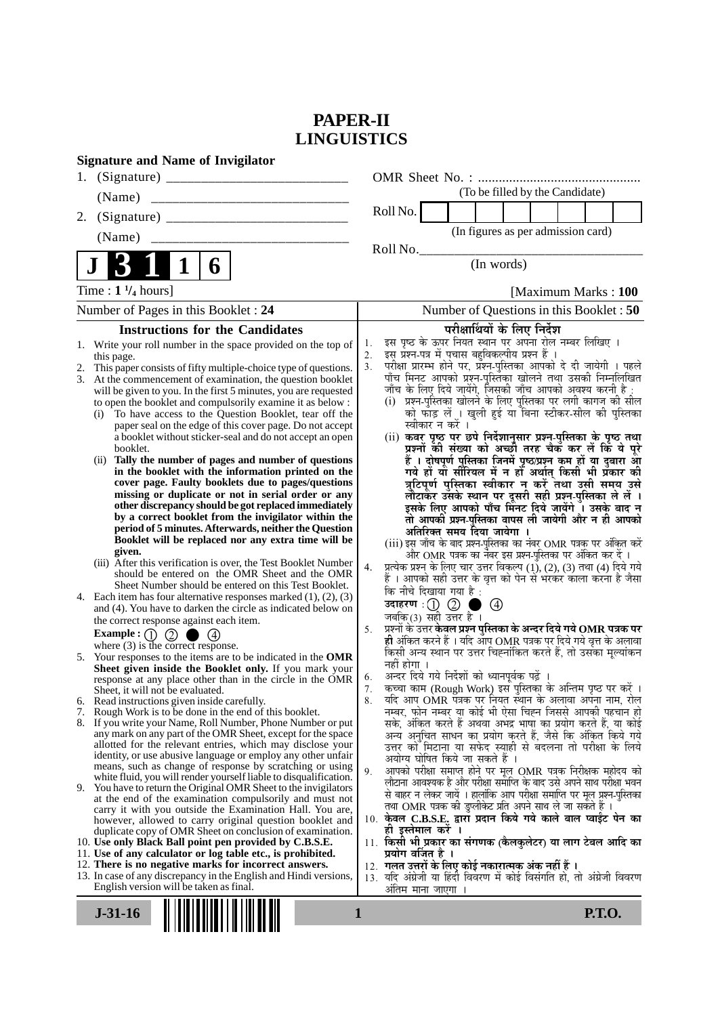# **PAPER-II LINGUISTICS**

| <b>Signature and Name of Invigilator</b>                                                                                              |                                                                                                                                   |
|---------------------------------------------------------------------------------------------------------------------------------------|-----------------------------------------------------------------------------------------------------------------------------------|
| 1.                                                                                                                                    |                                                                                                                                   |
| (Name)                                                                                                                                | (To be filled by the Candidate)                                                                                                   |
| 2.                                                                                                                                    | Roll No.                                                                                                                          |
| (Name)                                                                                                                                | (In figures as per admission card)                                                                                                |
|                                                                                                                                       | Roll No.                                                                                                                          |
| $\mathbf 1$<br>6                                                                                                                      | (In words)                                                                                                                        |
| Time : $1\frac{1}{4}$ hours]                                                                                                          | [Maximum Marks: 100]                                                                                                              |
| Number of Pages in this Booklet: 24                                                                                                   | Number of Questions in this Booklet : 50                                                                                          |
| <b>Instructions for the Candidates</b>                                                                                                | परीक्षार्थियों के लिए निर्देश                                                                                                     |
| 1. Write your roll number in the space provided on the top of                                                                         | इस पृष्ठ के ऊपर नियत स्थान पर अपना रोल नम्बर लिखिए ।<br>1.<br>इस प्रश्न-पत्र में पचास बहुविकल्पीय प्रश्न हैं ।<br>2.              |
| this page.<br>This paper consists of fifty multiple-choice type of questions.<br>2.                                                   | परीक्षा प्रारम्भ होने पर, प्रॅश्न-पुस्तिका आपको दे दी जायेगी । पहले<br>3.                                                         |
| At the commencement of examination, the question booklet<br>3.                                                                        | पाँच मिनट आपको प्रश्न-पुस्तिका खोलने तथा उसकी निम्नलिखित                                                                          |
| will be given to you. In the first 5 minutes, you are requested                                                                       | जाँच के लिए दिये जायेंगे, जिसकी जाँच आपको अवश्य करनी है :<br>(i) प्रश्न-पुस्तिका खोलने के लिए पुस्तिका पर लगी कागज की सील         |
| to open the booklet and compulsorily examine it as below :<br>To have access to the Question Booklet, tear off the<br>(i)             | को फाँड़ लें । खुली हुई या बिना स्टीकर-सील की पुस्तिका                                                                            |
| paper seal on the edge of this cover page. Do not accept                                                                              | स्वीकार न करें ।                                                                                                                  |
| a booklet without sticker-seal and do not accept an open<br>booklet.                                                                  | (ii) कवर पृष्ठ पर छपे निर्देशानुसार प्रश्न-पुस्तिका के पृष्ठ तथा<br>प्रश्नों की संख्या को अच्छी तरह चैक कर लें कि ये पूरे         |
| Tally the number of pages and number of questions<br>(ii)                                                                             | हैं । दोषपूर्ण पुस्तिका जि़नमें पृष्ठ/प्रश्न कूम हों या दुबारा आू                                                                 |
| in the booklet with the information printed on the                                                                                    | गये हों या सीरियल में न हों अर्थात् किसी भी प्रॅकार की                                                                            |
| cover page. Faulty booklets due to pages/questions                                                                                    | त्रुटिपूर्ण पुस्तिका स्वीकार न करें तथा उसी समय उसे                                                                               |
| missing or duplicate or not in serial order or any<br>other discrepancy should be got replaced immediately                            | लौटाकेर उसके स्थान पर दूसरी सही प्रश्न-पुस्तिका ले लें ।<br>इसके लिए आपको पाँच मिनट दिये जायेंगे । उसके बाद न                     |
| by a correct booklet from the invigilator within the                                                                                  | तो आपकी प्रश्न-पुस्तिका वापस ली जायेगी और न ही आपको                                                                               |
| period of 5 minutes. Afterwards, neither the Question<br>Booklet will be replaced nor any extra time will be                          | अतिरिक्त समय दिया जायेगा ।                                                                                                        |
| given.                                                                                                                                | (iii) इस जाँच के बाद प्रश्न-पुस्तिका का नंबर OMR पत्रक पर अंकित करें<br>और OMR पत्रक का नंबर इस प्रश्न-पुस्तिका पर अंकित कर दें । |
| (iii) After this verification is over, the Test Booklet Number                                                                        | प्रत्येक प्रश्न के लिए चार उत्तर विकल्प (1), (2), (3) तथा (4) दिये गये<br>4.                                                      |
| should be entered on the OMR Sheet and the OMR<br>Sheet Number should be entered on this Test Booklet.                                | हैं । आपको सही उत्तर के वृत्त को पेन से भरकर काला करना है जैसा                                                                    |
| 4. Each item has four alternative responses marked $(1)$ , $(2)$ , $(3)$                                                              | कि नीचे दिखाया गया है :                                                                                                           |
| and (4). You have to darken the circle as indicated below on                                                                          | उदाहरण $\,:\!(\!) \,\,\mathbb{Q} \,$ ।<br>$\circledcirc$<br>जबकि(3) सही उत्तर है ।                                                |
| the correct response against each item.<br>Example : $\bigcirc$ $\bigcirc$ $\bigcirc$<br>$\bullet$ (4)                                | प्रश्नों के उत्तर <b>केवल प्रश्न पुस्तिका के अन्दर दिये गये OMR पत्रक पर</b><br>5.                                                |
| where $(3)$ is the correct response.                                                                                                  | ही अंकित करने हैं । यदि ऑप OMR पत्रक पर दिये गये वृत्त के अलावा                                                                   |
| 5. Your responses to the items are to be indicated in the OMR                                                                         | किसी अन्य स्थान पर उत्तर चिह्नांकित करते हैं, तो उसका मूल्यांकन<br>नहीं होगा ।                                                    |
| Sheet given inside the Booklet only. If you mark your<br>response at any place other than in the circle in the OMR                    | अन्दर दिये गये निर्देशों को ध्यानपूर्वक पढ़ें ।<br>6.                                                                             |
| Sheet, it will not be evaluated.                                                                                                      | कृत्वा काम (Rough Work) इस पुस्तिका के अन्तिम पृष्ठ पर करें ।<br>7.                                                               |
| Read instructions given inside carefully.<br>b.<br>Rough Work is to be done in the end of this booklet.<br>7.                         | र्याद आप OMR पत्रक पर नियत स्थान के अलावा अपना नाम, रोल<br>8.<br>नम्बर, फोन नम्बर या कोई भी ऐसा चिह्न जिससे आपकी पहचान हो         |
| 8. If you write your Name, Roll Number, Phone Number or put                                                                           | सके, अंकित करते हैं अथवा अभद्र भाषा का प्रयोग करते हैं, या कोई                                                                    |
| any mark on any part of the OMR Sheet, except for the space                                                                           | अन्य अनुचित साधन का प्रयोग करते हैं, जैसे कि अंकित किये गये                                                                       |
| allotted for the relevant entries, which may disclose your<br>identity, or use abusive language or employ any other unfair            | उत्तर को मिटाना या सफेद स्याही से बदलना तो परीक्षा के लिये                                                                        |
| means, such as change of response by scratching or using                                                                              | अयोग्य घोषित किये जा सकते हैं ।<br>आपको परीक्षा समाप्त होने पर मूल OMR पत्रक निरीक्षक महोदय को<br>9.                              |
| white fluid, you will render yourself liable to disqualification.<br>9. You have to return the Original OMR Sheet to the invigilators | लौटाना आवश्यक है और परीक्षा समाप्ति के बाद उसे अपने साथ परीक्षा भवन                                                               |
| at the end of the examination compulsorily and must not                                                                               | से बाहर न लेकर जायें । हालांकि आप परीक्षा समाप्ति पर मूल प्रश्न-पुस्तिका                                                          |
| carry it with you outside the Examination Hall. You are,                                                                              | तथा OMR पत्रक की डुप्लीकेट प्रति अपने साथ ले जा सकते हैं ।<br>10. केवल C.B.S.E. द्वारा प्रदान किये गये काले बाल प्वाईट पेन का     |
| however, allowed to carry original question booklet and<br>duplicate copy of OMR Sheet on conclusion of examination.                  | ही इस्तेमाल करे ।                                                                                                                 |
| 10. Use only Black Ball point pen provided by C.B.S.E.                                                                                | 11. किसी भी प्रकार का संगणक (कैलकुलेटर) या लाग टेबल आदि का                                                                        |
| 11. Use of any calculator or log table etc., is prohibited.<br>12. There is no negative marks for incorrect answers.                  | प्रयोग वर्जित है ।<br>12. गलत उत्तरों के लिए कोई नकारात्मक अंक नहीं हैं ।                                                         |
| 13. In case of any discrepancy in the English and Hindi versions,                                                                     | 13. यदि अंग्रेजी या हिंदी विवरण में कोई विसंगति हो, तो अंग्रेजी विवरण                                                             |
| English version will be taken as final.                                                                                               | अंतिम माना जाएगा ।                                                                                                                |
| $J-31-16$                                                                                                                             | <b>P.T.O.</b><br>1                                                                                                                |
|                                                                                                                                       |                                                                                                                                   |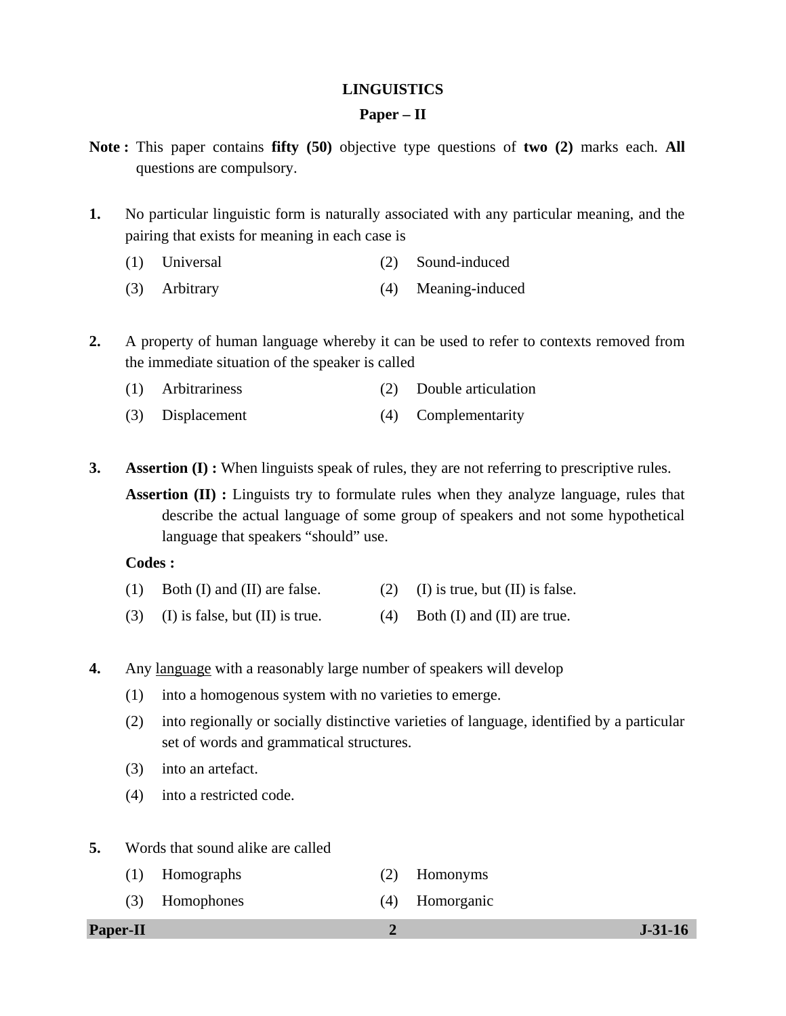### **LINGUISTICS**

#### **Paper – II**

- **Note :** This paper contains **fifty (50)** objective type questions of **two (2)** marks each. **All** questions are compulsory.
- **1.** No particular linguistic form is naturally associated with any particular meaning, and the pairing that exists for meaning in each case is
	- (1) Universal (2) Sound-induced
	- (3) Arbitrary (4) Meaning-induced
- **2.** A property of human language whereby it can be used to refer to contexts removed from the immediate situation of the speaker is called
	- (1) Arbitrariness (2) Double articulation
	- (3) Displacement (4) Complementarity
- **3. Assertion (I) :** When linguists speak of rules, they are not referring to prescriptive rules.

**Assertion (II) :** Linguists try to formulate rules when they analyze language, rules that describe the actual language of some group of speakers and not some hypothetical language that speakers "should" use.

#### **Codes :**

- (1) Both (I) and (II) are false. (2) (I) is true, but (II) is false.
- (3) (I) is false, but (II) is true.  $(4)$  Both (I) and (II) are true.
- **4.** Any language with a reasonably large number of speakers will develop
	- (1) into a homogenous system with no varieties to emerge.
	- (2) into regionally or socially distinctive varieties of language, identified by a particular set of words and grammatical structures.
	- (3) into an artefact.
	- (4) into a restricted code.
- **5.** Words that sound alike are called
	- (1) Homographs (2) Homonyms
	- (3) Homophones (4) Homorganic

**Paper-II 2 J-31-16**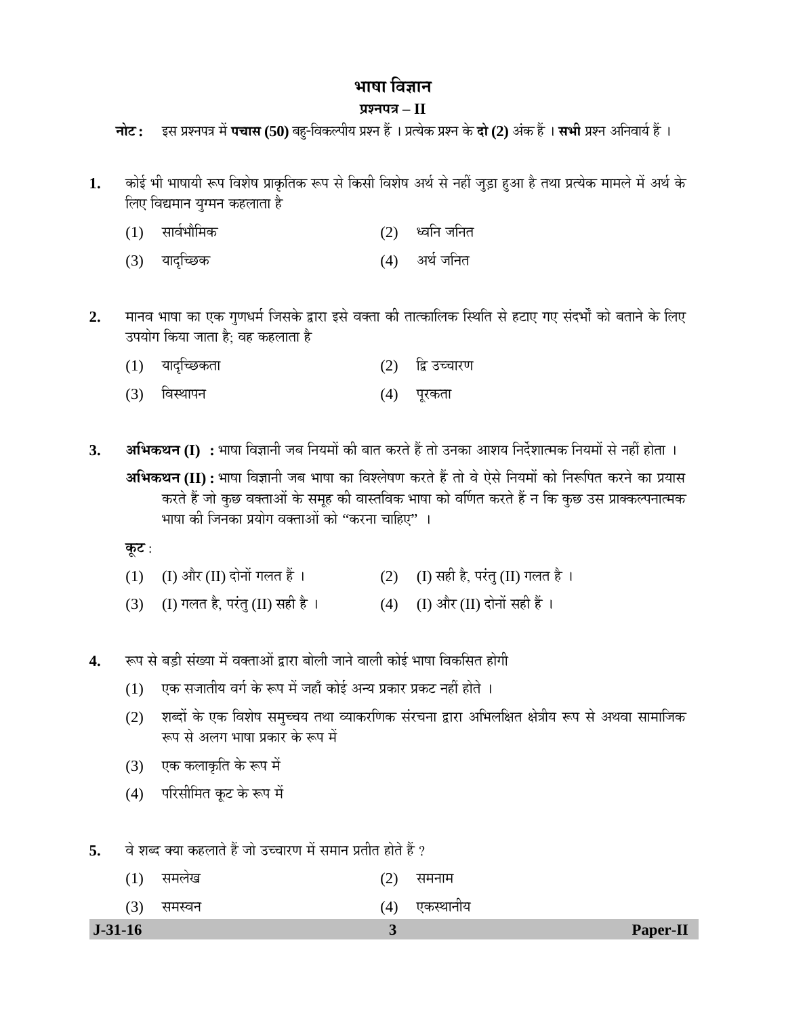# भाषा विज्ञान

## **¯ÖÏ¿®Ö¯Ö¡Ö – II**

**चोट:** इस प्रश्नपत्र में **पचास (50)** बह-विकल्पीय प्रश्न हैं । प्रत्येक प्रश्न के **दो (2)** अंक हैं । सभी प्रश्न अनिवार्य हैं ।

- 1. कोई भी भाषायी रूप विशेष प्राकृतिक रूप से किसी विशेष अर्थ से नहीं जुड़ा हुआ है तथा प्रत्येक मामले में अर्थ के लिए विद्यमान युग्मन कहलाता है
	- (1) ÃÖÖ¾ÖÔ³ÖÖî×´ÖÛú (2) ¬¾Ö×®Ö •Ö×®ÖŸÖ
	- (3) यादच्छिक (4) अर्थ जनित
- 2. मानव भाषा का एक गुणधर्म जिसके द्वारा इसे वक्ता की तात्कालिक स्थिति से हटाए गए संदर्भों को बताने के लिए उपयोग किया जाता है; वह कहलाता है
	- $(1)$  यादृच्छिकता  $(2)$  ह्रि उच्चारण
	- (3) विस्थापन (4) पूरकता
- **3. अभिकथन (I) :** भाषा विज्ञानी जब नियमों की बात करते हैं तो उनका आशय निर्देशात्मक नियमों से नहीं होता । **अभिकथन (II) :** भाषा विज्ञानी जब भाषा का विश्लेषण करते हैं तो वे ऐसे नियमों को निरूपित करने का प्रयास

करते हैं जो कुछ वक्ताओं के समूह की वास्तविक भाषा को वर्णित करते हैं न कि कुछ उस प्राक्कल्पनात्मक भाषा की जिनका प्रयोग वक्ताओं को ''करना चाहिए'' ।

<u>कूट :</u>

- (1) (I) और (II) दोनों गलत हैं ।  $(2)$  (I) सही है, परंतु (II) गलत है ।
- (3) (I) गलत है, परंतु (II) सही है ।  $(4)$  (I) और (II) दोनों सही हैं ।
- 4. रूप से बड़ी संख्या में वक्ताओं द्वारा बोली जाने वाली कोई भाषा विकसित होगी
	- $(1)$  एक सजातीय वर्ग के रूप में जहाँ कोई अन्य प्रकार प्रकट नहीं होते ।
	- (2) शब्दों के एक विशेष समुच्चय तथा व्याकरणिक संरचना द्वारा अभिलक्षित क्षेत्रीय रूप से अथवा सामाजिक रूप से अलग भाषा प्रकार के रूप में
	- $(3)$  एक कलाकृति के रूप में
	- (4) परिसीमित कूट के रूप में
- **5.** ¾Öê ¿Ö²¤ü ŒµÖÖ ÛúÆü»ÖÖŸÖê Æïü •ÖÖê ˆ""ÖÖ¸üÞÖ ´Öë ÃÖ´ÖÖ®Ö ¯ÖÏŸÖßŸÖ ÆüÖêŸÖê Æïü ?

| $J-31-16$ |        |     |               | Paper-II |
|-----------|--------|-----|---------------|----------|
| (3)       | समस्वन |     | (4) एकस्थानीय |          |
| (1)       | समलेख  | (2) | समनाम         |          |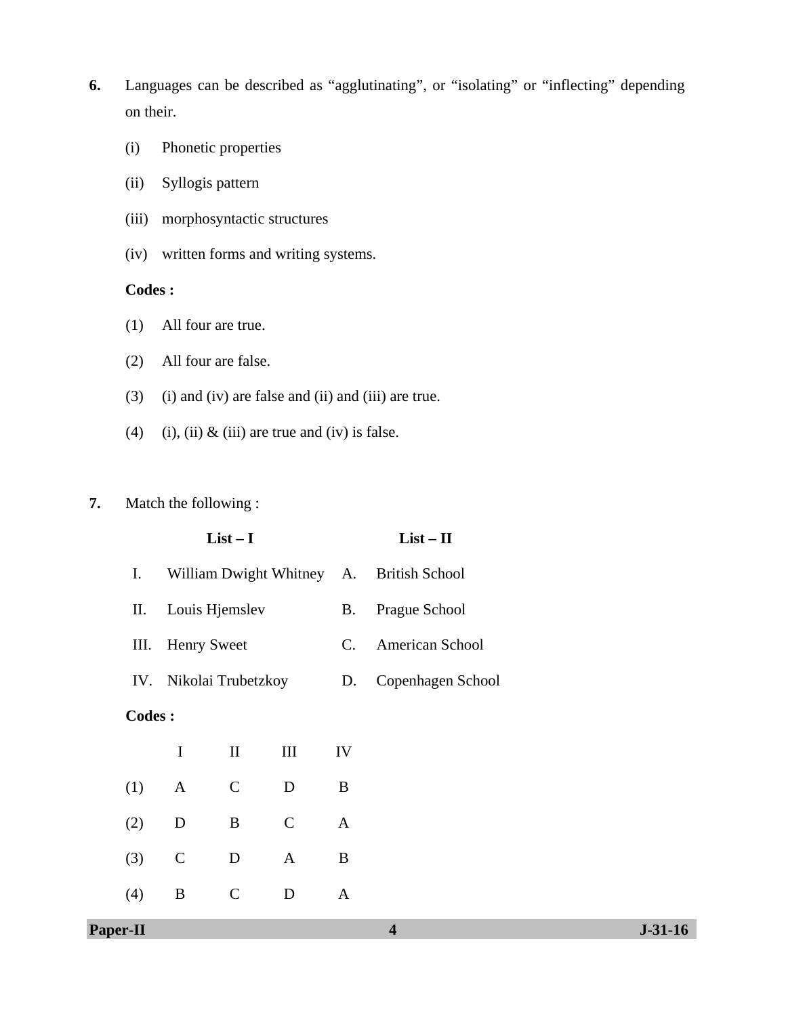- **6.** Languages can be described as "agglutinating", or "isolating" or "inflecting" depending on their.
	- (i) Phonetic properties
	- (ii) Syllogis pattern
	- (iii) morphosyntactic structures
	- (iv) written forms and writing systems.

#### **Codes :**

- (1) All four are true.
- (2) All four are false.
- (3) (i) and (iv) are false and (ii) and (iii) are true.
- (4) (i), (ii)  $\&$  (iii) are true and (iv) is false.

#### **7.** Match the following :

# **List – I List – II**  I. William Dwight Whitney A. British School II. Louis Hjemslev B. Prague School III. Henry Sweet C. American School IV. Nikolai Trubetzkoy D. Copenhagen School **Codes :** I II III IV (1) A C D B (2) D B C A

(3) C D A B

(4) B C D A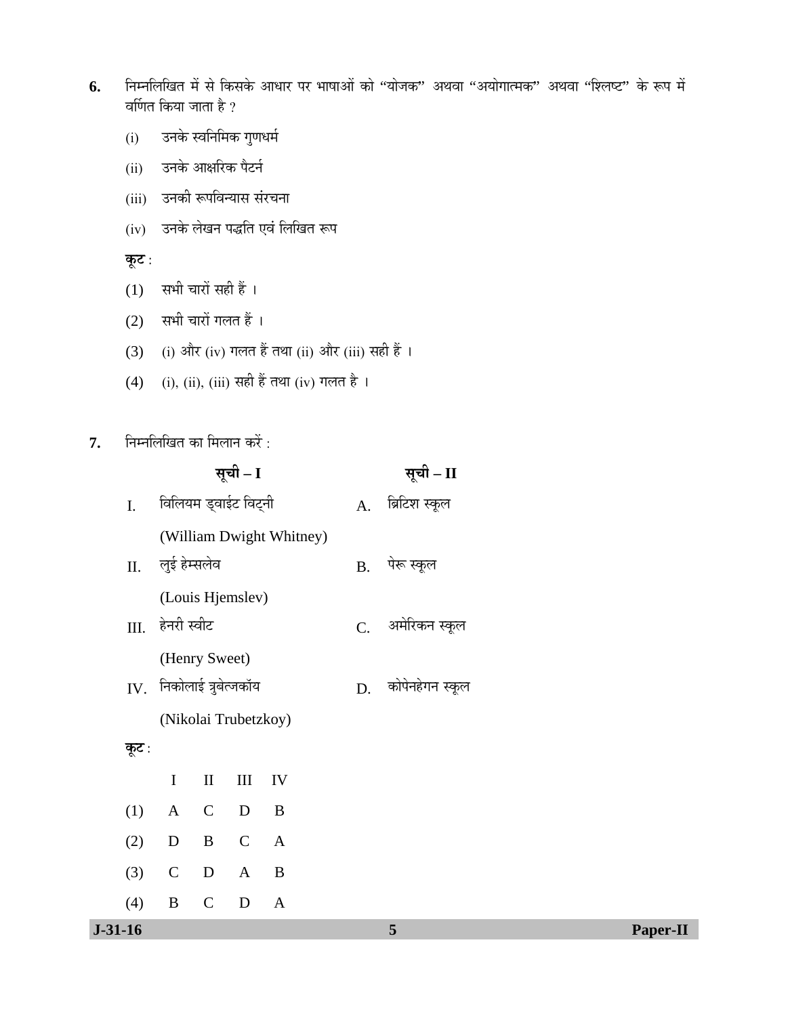- 6. Fiम्नलिखित में से किसके आधार पर भाषाओं को "योजक" अथवा "अयोगात्मक" अथवा "श्लिष्ट" के रूप में वर्णित किया जाता है ?
	- (i) उनके स्वनिमिक गुणधर्म
	- (ii) उनके आक्षरिक पैटर्न
	- (iii) उनकी रूपविन्यास संरचना
	- (iv) उनके लेखन पद्धति एवं लिखित रूप

<u>कूट :</u>

- $(1)$  सभी चारों सही हैं।
- $(2)$  सभी चारों गलत हैं।
- (3) (i) और (iv) गलत हैं तथा (ii) और (iii) सही हैं ।
- (4) (i), (ii), (iii) सही हैं तथा (iv) गलत है।
- **7.** निम्नलिखित का मिलान करें :

| ब्रिटिश स्कूल      |
|--------------------|
|                    |
|                    |
|                    |
|                    |
| C. अमेरिकन स्कूल   |
|                    |
| D. कोपेनहेगन स्कूल |
|                    |
|                    |
|                    |
|                    |
|                    |
|                    |
|                    |
|                    |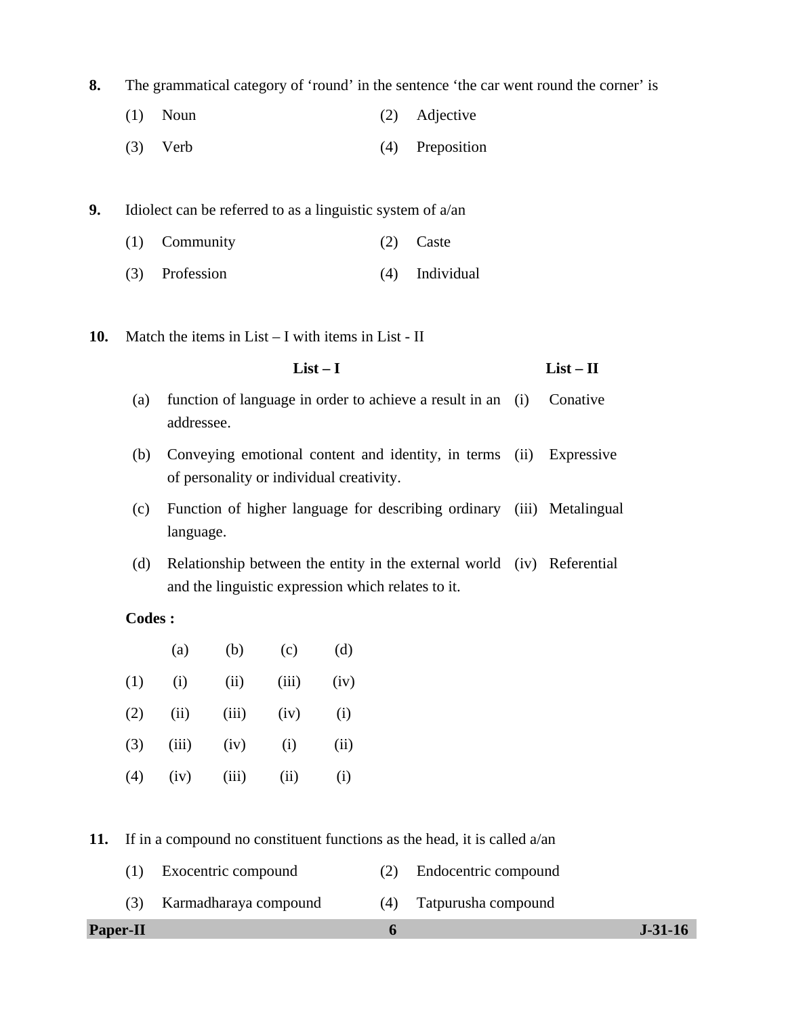**8.** The grammatical category of 'round' in the sentence 'the car went round the corner' is

- (1) Noun (2) Adjective
- (3) Verb (4) Preposition

**9.** Idiolect can be referred to as a linguistic system of a/an

- (1) Community (2) Caste
- (3) Profession (4) Individual
- **10.** Match the items in List I with items in List II
	- **List I List II**
	- (a) function of language in order to achieve a result in an addressee. Conative
	- (b) Conveying emotional content and identity, in terms of personality or individual creativity. **Expressive**
	- (c) Function of higher language for describing ordinary (iii) Metalingual language.
	- (d) Relationship between the entity in the external world (iv) Referential and the linguistic expression which relates to it.

### **Codes :**

|     | (a)   | (b)   | (c)   | (d)  |
|-----|-------|-------|-------|------|
| (1) | (i)   | (ii)  | (iii) | (iv) |
| (2) | (ii)  | (iii) | (iv)  | (i)  |
| (3) | (iii) | (iv)  | (i)   | (ii) |
| (4) | (iv)  | (iii) | (ii)  | (i)  |

**11.** If in a compound no constituent functions as the head, it is called a/an

- (1) Exocentric compound (2) Endocentric compound
- (3) Karmadharaya compound (4) Tatpurusha compound

#### **Paper-II 6 J-31-16**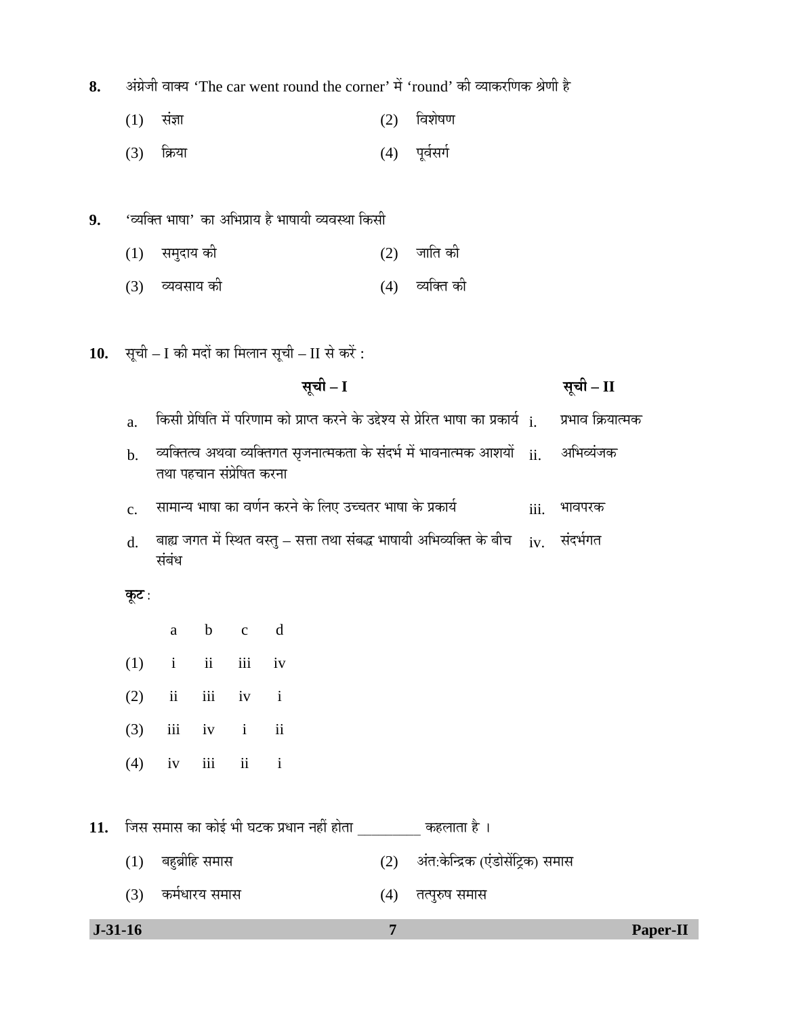8. अंग्रेजी वाक्य 'The car went round the corner' में 'round' की व्याकरणिक श्रेणी है

- $(1)$  संज्ञा (2) विशेषण
- (3) क्रिया (4) पूर्वसर्ग
- 9. 'व्यक्ति भाषा' का अभिप्राय है भाषायी व्यवस्था किसी
	- $(1)$  समुदाय की  $(2)$  जाति की
	- (3) व्यवसाय की (4) व्यक्ति की
- 10. सूची I की मदों का मिलान सूची II से करें :
	- **ÃÖæ"Öß I ÃÖæ"Öß II**
	- $a$  किसी प्रेषिति में परिणाम को प्राप्त करने के उद्देश्य से प्रेरित भाषा का प्रकार्य  $\,$ i.  $\,$  प्रभाव क्रियात्मक
	- $_{\rm b.}$ ं व्यक्तित्व अथवा व्यक्तिगत सृजनात्मकता के संदर्भ में भावनात्मक आशयों  $_{\rm ii.}$ तथा पहचान संप्रेषित करना आभिव्यंजक
	- $\rm c.$  सामान्य भाषा का वर्णन करने के लिए उच्चतर भाषा के प्रकार्य  $\rm iii.$  भावपरक
	- ${\rm d.}$  बाह्य जगत में स्थित वस्तु सत्ता तथा संबद्ध भाषायी अभिव्यक्ति के बीच  $_{\rm iv.}$  संदर्भगत संबंध

#### **कूट** :

a b c d

- $(1)$  i ii iii iv
- $(2)$  ii iii iv i
- $(3)$  iii iv i ii
- $(4)$  iv iii ii i
- 11. जिस समास का कोई भी घटक प्रधान नहीं होता *www. कहलाता है*।
	- (1) ²ÖÆãü²ÖÎßׯü ÃÖ´ÖÖÃÖ (2) †ÓŸÖ:Ûêú×®¦üÛú (‹Ó›üÖêÃÖë×™ÒüÛú) ÃÖ´ÖÖÃÖ
	- (3) कर्मधारय समास (4) तत्पुरुष समास

 **J-31-16 7 Paper-II**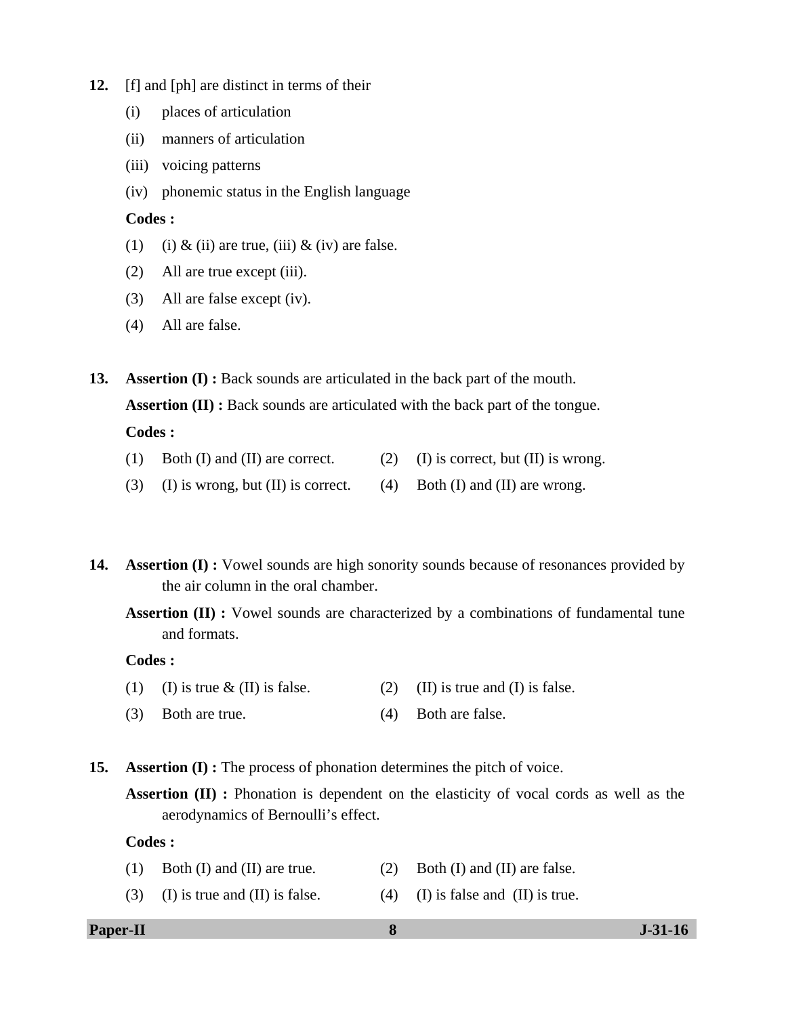- **12.** [f] and [ph] are distinct in terms of their
	- (i) places of articulation
	- (ii) manners of articulation
	- (iii) voicing patterns
	- (iv) phonemic status in the English language

#### **Codes :**

- (1) (i) & (ii) are true, (iii) & (iv) are false.
- (2) All are true except (iii).
- (3) All are false except (iv).
- (4) All are false.

**13. Assertion (I)**: Back sounds are articulated in the back part of the mouth.

**Assertion (II) :** Back sounds are articulated with the back part of the tongue.

#### **Codes :**

- (1) Both (I) and (II) are correct. (2) (I) is correct, but (II) is wrong.
- (3) (I) is wrong, but (II) is correct. (4) Both (I) and (II) are wrong.
- **14. Assertion (I) :** Vowel sounds are high sonority sounds because of resonances provided by the air column in the oral chamber.

Assertion (II) : Vowel sounds are characterized by a combinations of fundamental tune and formats.

#### **Codes :**

- (1) (I) is true  $\&$  (II) is false. (2) (II) is true and (I) is false.
- (3) Both are true. (4) Both are false.

**15. Assertion (I) :** The process of phonation determines the pitch of voice.

**Assertion (II) :** Phonation is dependent on the elasticity of vocal cords as well as the aerodynamics of Bernoulli's effect.

#### **Codes :**

- (1) Both (I) and (II) are true. (2) Both (I) and (II) are false.
- (3) (I) is true and (II) is false. (4) (I) is false and (II) is true.

#### **Paper-II 8 J-31-16**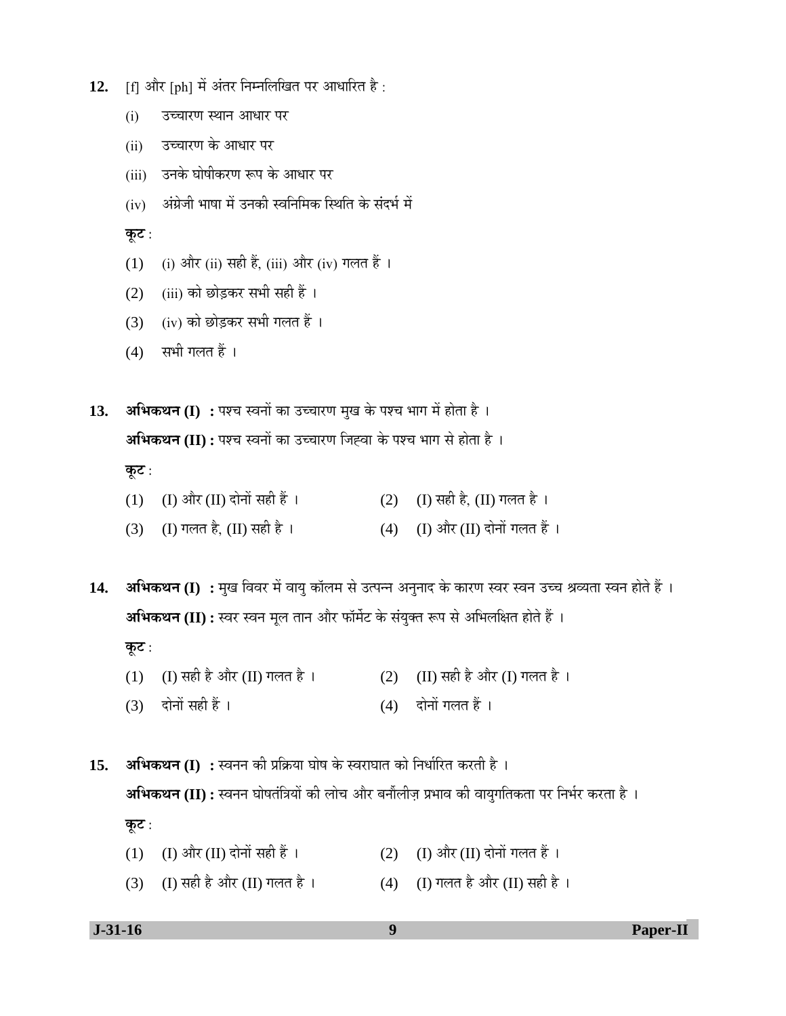- 12. [f] और [ph] में अंतर निम्नलिखित पर आधारित है:
	- (i) उच्चारण स्थान आधार पर
	- (ii) उच्चारण के आधार पर
	- (iii) उनके घोषीकरण रूप के आधार पर
	- (iv) अंग्रेजी भाषा में उनकी स्वनिमिक स्थिति के संदर्भ में

<u>कूट:</u>

- (1) (i) और (ii) सही हैं, (iii) और (iv) गलत हैं ।
- (2) (iii) को छोड़कर सभी सही हैं।
- $(3)$   $(iv)$  को छोड़कर सभी गलत हैं।
- $(4)$  सभी गलत हैं।

13. **अभिकथन (I) :** पश्च स्वनों का उच्चारण मुख के पश्च भाग में होता है । **अभिकथन (II) :** पश्च स्वनों का उच्चारण जिह्वा के पश्च भाग से होता है । <u>कूट :</u> (1) (I) और (II) दोनों सही हैं ।  $(2)$  (I) सही है, (II) गलत है ।

(3) (I) गलत है, (II) सही है ।  $(4)$  (I) और (II) दोनों गलत हैं ।

14. **अभिकथन (I) :** मुख विवर में वायु कॉलम से उत्पन्न अनुनाद के कारण स्वर स्वन उच्च श्रव्यता स्वन होते हैं । **अभिकथन (II) :** स्वर स्वन मूल तान और फॉर्मेट के संयुक्त रूप से अभिलक्षित होते हैं । **कूट** : (1) (I) सही है और (II) गलत है ।  $(2)$  (II) सही है और (I) गलत है ।

- 
- $(3)$  दोनों सही हैं ।  $(4)$  दोनों गलत हैं ।

 $15.$  **अभिकथन (I) :** स्वनन की प्रक्रिया घोष के स्वराघात को निर्धारित करती है । **अभिकथन (II) :** स्वनन घोषतंत्रियों की लोच और बनौंलीज़ प्रभाव की वायुगतिकता पर निर्भर करता है । <u>कूट :</u>

- (1) (I) और (II) दोनों सही हैं ।  $(2)$  (I) और (II) दोनों गलत हैं ।
- (3) (I) सही है और (II) गलत है ।  $(4)$  (I) गलत है और (II) सही है ।

 **J-31-16 9 Paper-II**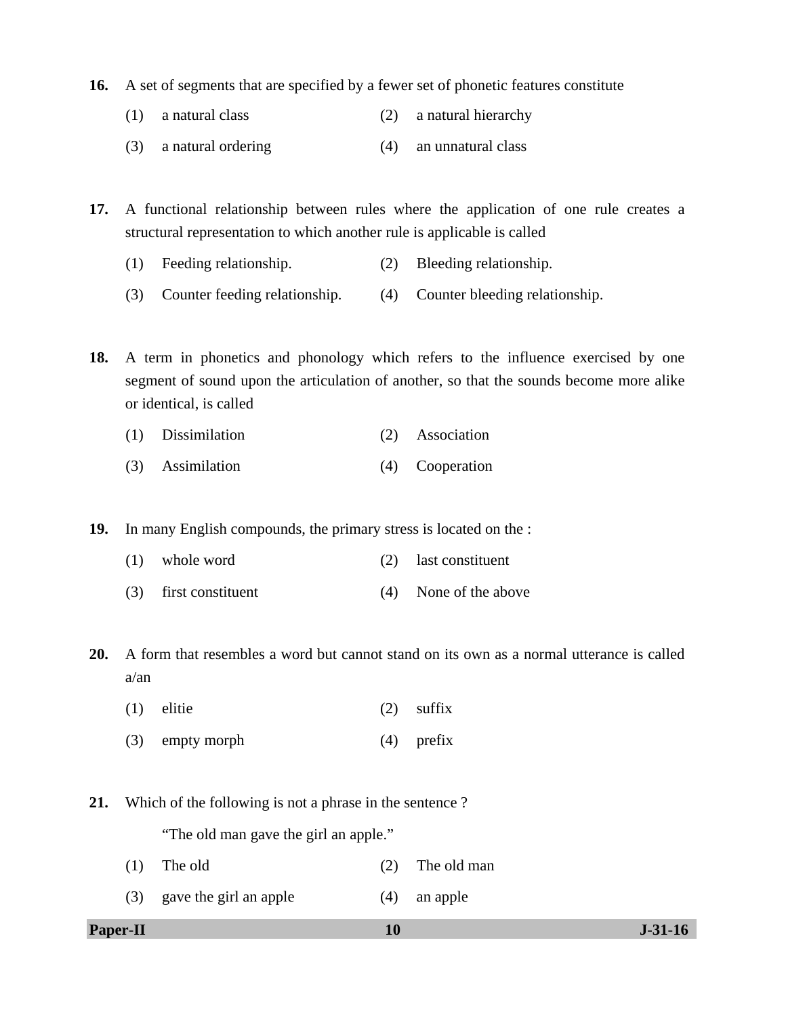- **16.** A set of segments that are specified by a fewer set of phonetic features constitute
	- (1) a natural class (2) a natural hierarchy
	- (3) a natural ordering (4) an unnatural class

**17.** A functional relationship between rules where the application of one rule creates a structural representation to which another rule is applicable is called

- (1) Feeding relationship. (2) Bleeding relationship.
- (3) Counter feeding relationship. (4) Counter bleeding relationship.

**18.** A term in phonetics and phonology which refers to the influence exercised by one segment of sound upon the articulation of another, so that the sounds become more alike or identical, is called

- (1) Dissimilation (2) Association
- (3) Assimilation (4) Cooperation

**19.** In many English compounds, the primary stress is located on the :

- (1) whole word (2) last constituent
- (3) first constituent (4) None of the above

**20.** A form that resembles a word but cannot stand on its own as a normal utterance is called a/an

- (1) elitie (2) suffix (3) empty morph (4) prefix
- **21.** Which of the following is not a phrase in the sentence ?

"The old man gave the girl an apple."

- (1) The old (2) The old man
- (3) gave the girl an apple (4) an apple
- **Paper-II** J-31-16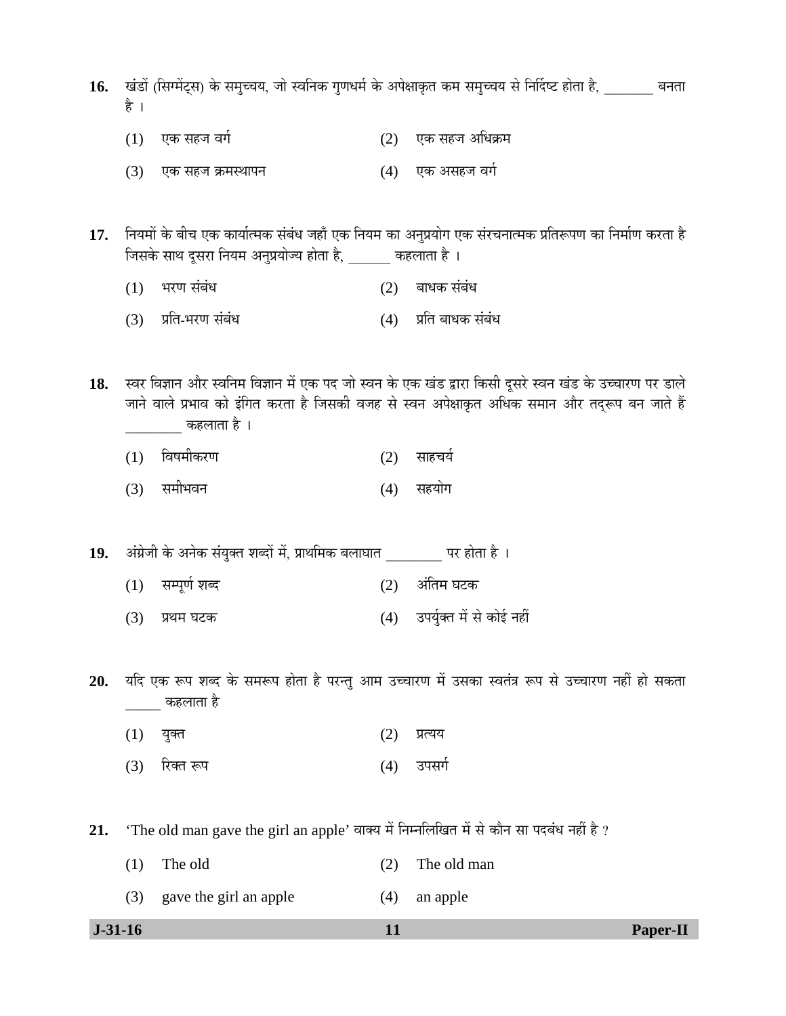16. TÖÖ (सिग्मेंट्स) के समुच्चय, जो स्वनिक गुणधर्म के अपेक्षाकृत कम समुच्चय से निर्दिष्ट होता है, www.a-a-an है ।

- (1) ‹Ûú ÃÖÆü•Ö ¾ÖÝÖÔ (2) ‹Ûú ÃÖÆü•Ö †×¬ÖÛÎú´Ö
- (3) एक सहज क्रमस्थापन (4) एक असहज वर्ग

17. नियमों के बीच एक कार्यात्मक संबंध जहाँ एक नियम का अनुप्रयोग एक संरचनात्मक प्रतिरूपण का निर्माण करता है וÖÃÖÛêú ÃÖÖ£Ö ¤æüÃÖ¸üÖ ×®ÖµÖ´Ö †®Öã¯ÖϵÖÖê•µÖ ÆüÖêŸÖÖ Æîü, \_\_\_\_\_\_ ÛúÆü»ÖÖŸÖÖ Æîü …

- $(1)$  भरण संबंध  $(2)$  बाधक संबंध
- (3) प्रति-भरण संबंध (4) प्रति बाधक संबंध

18. स्वर विज्ञान और स्वनिम विज्ञान में एक पद जो स्वन के एक खंड द्वारा किसी दूसरे स्वन खंड के उच्चारण पर डाले जाने वाले प्रभाव को इंगित करता है जिसकी वजह से स्वन अपेक्षाकृत अधिक समान और तदुरूप बन जाते हैं कहलाता है ।

- (1) विषमीकरण (2) साहचर्य
- (3) समीभवन (4) सहयोग

**19.** †ÓÝÖÏê•Öß Ûêú †®ÖêÛú ÃÖÓµÖãŒŸÖ ¿Ö²¤üÖë ´Öë, ¯ÖÏÖ£Ö×´ÖÛú ²Ö»ÖÖ'ÖÖŸÖ \_\_\_\_\_\_\_\_ ¯Ö¸ü ÆüÖêŸÖÖ Æîü …

- $(1)$  सम्पूर्ण शब्द  $(2)$  अंतिम घटक
- $(3)$  प्रथम घटक  $(4)$  उपर्युक्त में से कोई नहीं

20. यदि एक रूप शब्द के समरूप होता है परन्तु आम उच्चारण में उसका स्वतंत्र रूप से उच्चारण नहीं हो सकता कहलाता है

- $(1)$  युक्त  $(2)$  प्रत्यय
- (3) रिक्त रूप (4) उपसर्ग

21. 'The old man gave the girl an apple' वाक्य में निम्नलिखित में से कौन सा पदबंध नहीं है ?

| $J-31-16$ |                            | 11  |             | Paper-II |
|-----------|----------------------------|-----|-------------|----------|
|           | (3) gave the girl an apple | (4) | an apple    |          |
| (1)       | The old                    | (2) | The old man |          |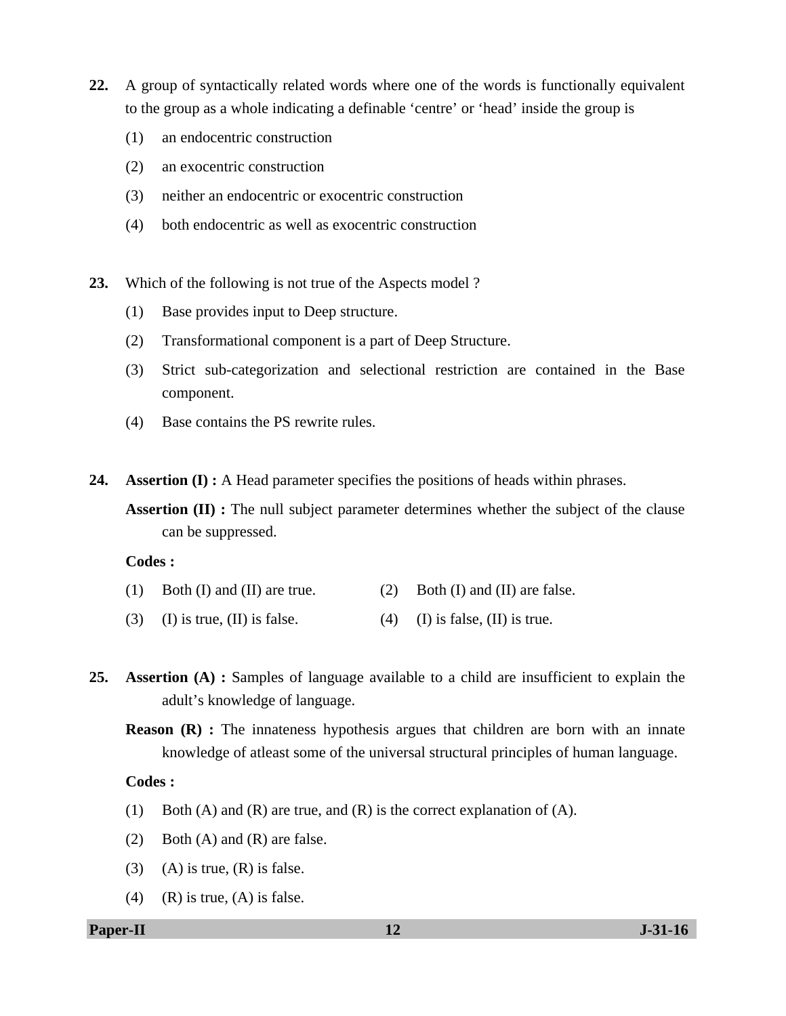- **22.** A group of syntactically related words where one of the words is functionally equivalent to the group as a whole indicating a definable 'centre' or 'head' inside the group is
	- (1) an endocentric construction
	- (2) an exocentric construction
	- (3) neither an endocentric or exocentric construction
	- (4) both endocentric as well as exocentric construction
- **23.** Which of the following is not true of the Aspects model ?
	- (1) Base provides input to Deep structure.
	- (2) Transformational component is a part of Deep Structure.
	- (3) Strict sub-categorization and selectional restriction are contained in the Base component.
	- (4) Base contains the PS rewrite rules.
- **24. Assertion (I) :** A Head parameter specifies the positions of heads within phrases.

**Assertion (II) :** The null subject parameter determines whether the subject of the clause can be suppressed.

#### **Codes :**

- (1) Both (I) and (II) are true. (2) Both (I) and (II) are false.
- (3) (I) is true, (II) is false. (4) (I) is false, (II) is true.
- **25. Assertion (A) :** Samples of language available to a child are insufficient to explain the adult's knowledge of language.

**Reason (R)**: The innateness hypothesis argues that children are born with an innate knowledge of atleast some of the universal structural principles of human language.

#### **Codes :**

- (1) Both (A) and (R) are true, and (R) is the correct explanation of (A).
- (2) Both (A) and (R) are false.
- (3) (A) is true,  $(R)$  is false.
- (4) (R) is true, (A) is false.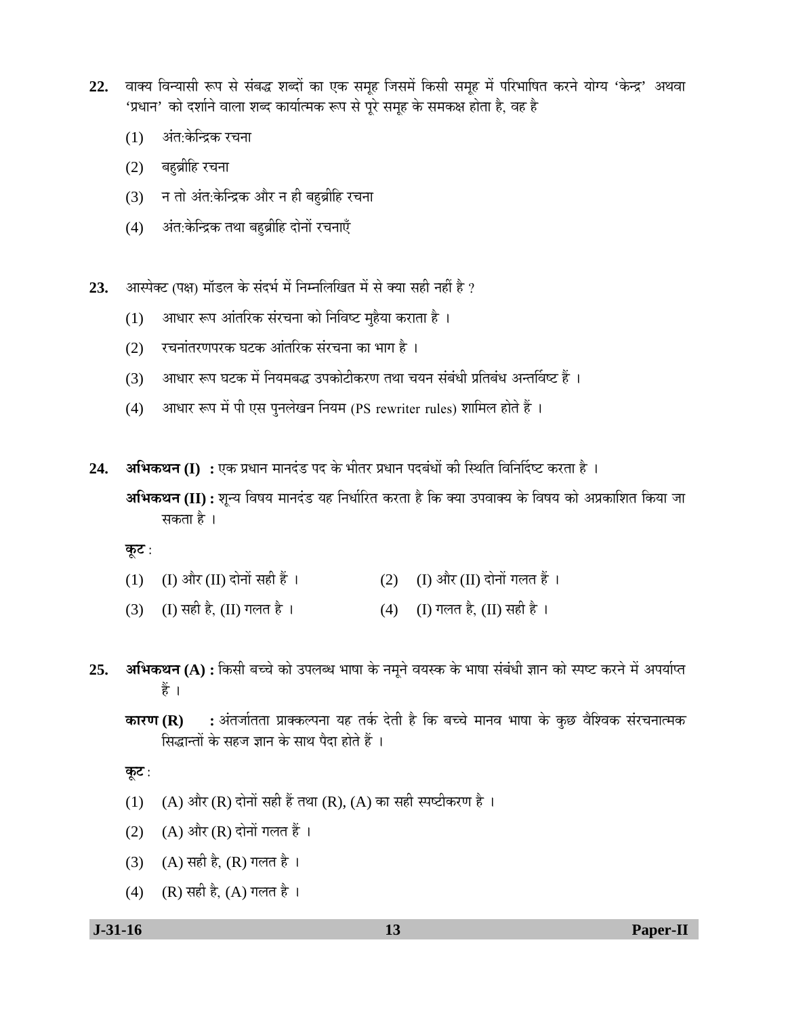- 22. वाक्य विन्यासी रूप से संबद्ध शब्दों का एक समूह जिसमें किसी समूह में परिभाषित करने योग्य 'केन्द्र' अथवा 'प्रधान' को दर्शाने वाला शब्द कार्यात्मक रूप से पूरे समह के समकक्ष होता है. वह है
	- $(1)$  अंत:केन्द्रिक रचना
	- (2) बहुब्रीहि रचना
	- (3) न तो अंत:केन्द्रिक और न ही बह़ब्रीहि रचना
	- (4) अंत:केन्द्रिक तथा बहब्रीहि दोनों रचनाएँ
- **23.** †ÖïÖꌙü (¯ÖõÖ) ´ÖÖò›ü»Ö Ûêú ÃÖÓ¤ü³ÖÔ ´Öë ×®Ö´®Ö×»Ö×ÜÖŸÖ ´Öë ÃÖê ŒµÖÖ ÃÖÆüß ®ÖÆüà Æîü ?
	- (1) आधार रूप आंतरिक संरचना को निविष्ट मुहैया कराता है ।
	- (2) रचनांतरणपरक घटक आंतरिक संरचना का भाग है)।
	- (3) आधार रूप घटक में नियमबद्ध उपकोटीकरण तथा चयन संबंधी प्रतिबंध अन्तर्विष्ट हैं ।
	- (4) आधार रूप में पी एस पुनलेखन नियम (PS rewriter rules) शामिल होते हैं ।
- **24. अभिकथन (I) :** एक प्रधान मानदंड पद के भीतर प्रधान पदबंधों की स्थिति विनिर्दिष्ट करता है । **अभिकथन (II) :** शून्य विषय मानदंड यह निर्धारित करता है कि क्या उपवाक्य के विषय को अप्रकाशित किया जा सकता है ।

<u>क</u>ूट :

- (1) (I) और (II) दोनों सही हैं ।  $(2)$  (I) और (II) दोनों गलत हैं ।
- (3) (I) सही है, (II) गलत है । (4) (I) गलत है, (II) सही है ।
- 25. **अभिकथन (A) :** किसी बच्चे को उपलब्ध भाषा के नमूने वयस्क के भाषा संबंधी ज्ञान को स्पष्ट करने में अपर्याप्त हैं ।
	- **कारण (R) :** अंतर्जातता प्राक्कल्पना यह तर्क देती है कि बच्चे मानव भाषा के कुछ वैश्विक संरचनात्मक सिद्धान्तों के सहज ज्ञान के साथ पैदा होते हैं ।

**कूट** :

- (1) (A) और (R) दोनों सही हैं तथा (R), (A) का सही स्पष्टीकरण है ।
- (2)  $(A)$  और  $(R)$  दोनों गलत हैं ।
- (3) (A) सही है, (R) गलत है।
- (4) (R) सही है, (A) गलत है ।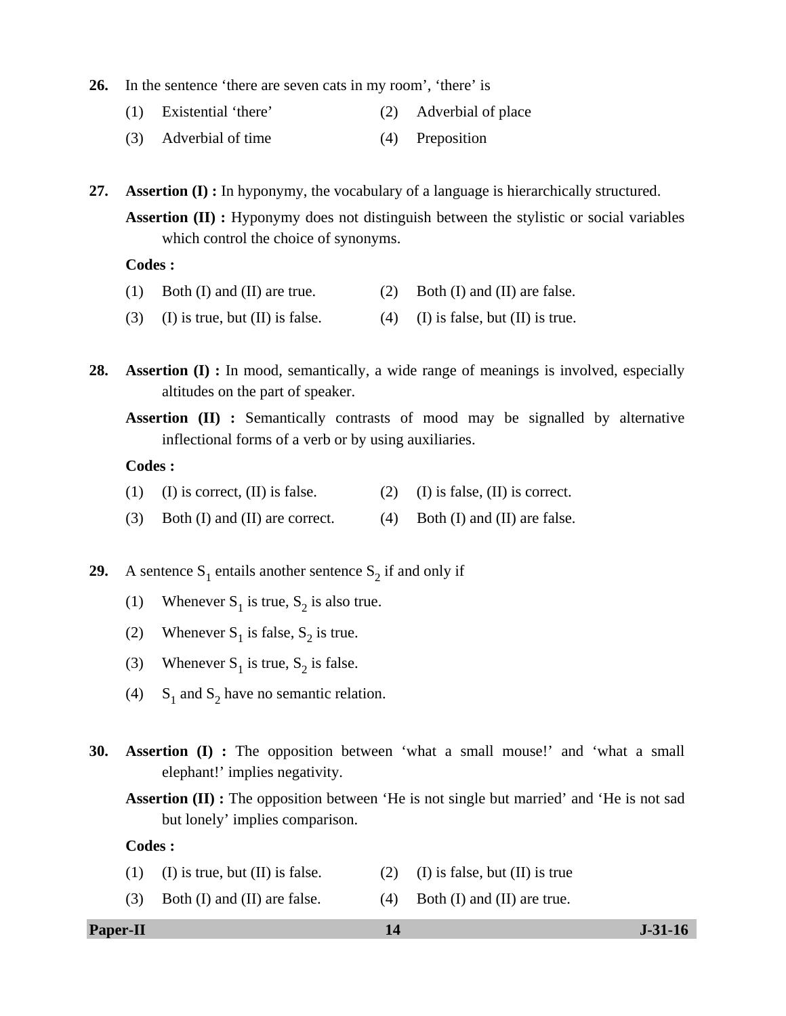- **26.** In the sentence 'there are seven cats in my room', 'there' is
	- (1) Existential 'there' (2) Adverbial of place
	- (3) Adverbial of time (4) Preposition

**27. Assertion (I) :** In hyponymy, the vocabulary of a language is hierarchically structured. **Assertion (II) :** Hyponymy does not distinguish between the stylistic or social variables which control the choice of synonyms.

#### **Codes :**

- (1) Both (I) and (II) are true. (2) Both (I) and (II) are false.
- (3) (I) is true, but (II) is false. (4) (I) is false, but (II) is true.

**28. Assertion (I) :** In mood, semantically, a wide range of meanings is involved, especially altitudes on the part of speaker.

**Assertion (II) :** Semantically contrasts of mood may be signalled by alternative inflectional forms of a verb or by using auxiliaries.

### **Codes :**

- (1) (I) is correct,  $(II)$  is false. (2) (I) is false,  $(II)$  is correct.
- (3) Both (I) and (II) are correct. (4) Both (I) and (II) are false.

**29.** A sentence  $S_1$  entails another sentence  $S_2$  if and only if

- (1) Whenever  $S_1$  is true,  $S_2$  is also true.
- (2) Whenever  $S_1$  is false,  $S_2$  is true.
- (3) Whenever  $S_1$  is true,  $S_2$  is false.
- (4) S<sub>1</sub> and S<sub>2</sub> have no semantic relation.
- **30. Assertion (I) :** The opposition between 'what a small mouse!' and 'what a small elephant!' implies negativity.

**Assertion (II) :** The opposition between 'He is not single but married' and 'He is not sad but lonely' implies comparison.

### **Codes :**

- (1) (I) is true, but (II) is false. (2) (I) is false, but (II) is true
- (3) Both (I) and (II) are false. (4) Both (I) and (II) are true.

#### **Paper-II** J-31-16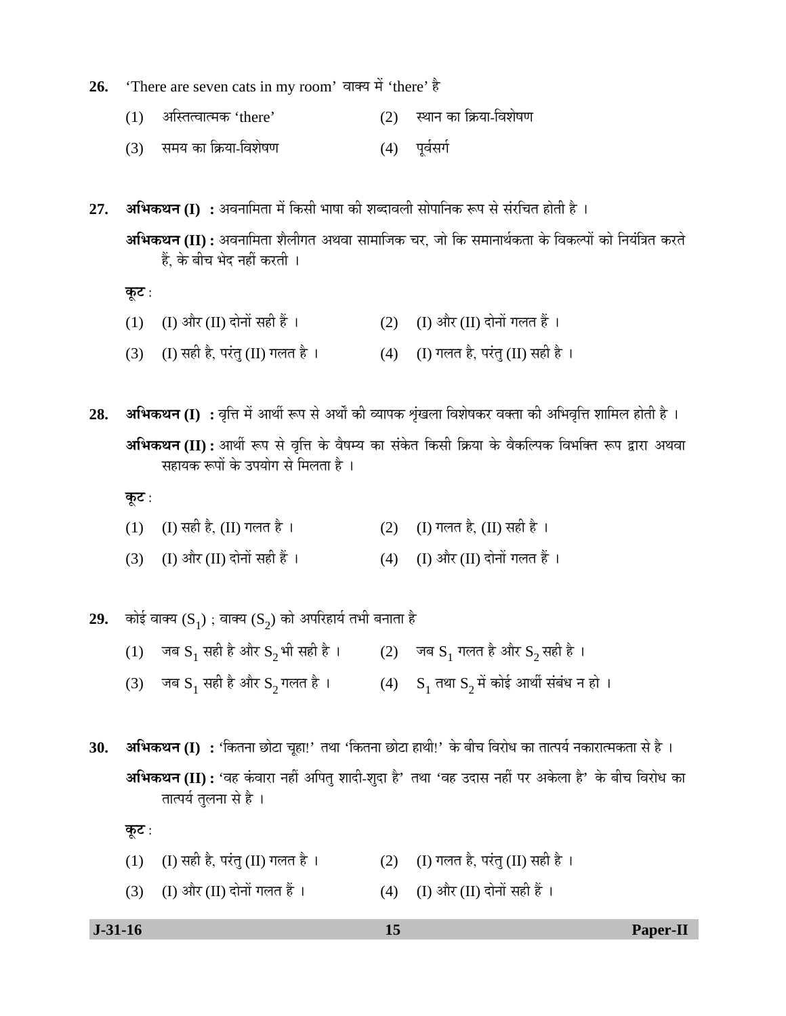- 26. 'There are seven cats in my room' वाक्य में 'there' है
	- (1) अस्तित्वात्मक 'there' (2) स्थान का क्रिया-विशेषण
	- (3) समय का क्रिया-विशेषण (4) पूर्वसर्ग

 $27.$  **अभिकथन (I) :** अवनामिता में किसी भाषा की शब्दावली सोपानिक रूप से संरचित होती है । **अभिकथन (II) :** अवनामिता शैलीगत अथवा सामाजिक चर, जो कि समानार्थकता के विकल्पों को नियंत्रित करते हैं. के बीच भेद नहीं करती ।

<u>क</u>ूट :

- (1) (I) और (II) दोनों सही हैं ।  $(2)$  (I) और (II) दोनों गलत हैं ।
- (3) (I) सही है, परंतु (II) गलत है ।  $(4)$  (I) गलत है, परंतु (II) सही है ।

28. अभिकथन (I) : वृत्ति में आर्थी रूप से अर्थों की व्यापक शृंखला विशेषकर वक्ता की अभिवृत्ति शामिल होती है । **अभिकथन (II) :** आर्थी रूप से वृत्ति के वैषम्य का संकेत किसी क्रिया के वैकल्पिक विभक्ति रूप द्वारा अथवा सहायक रूपों के उपयोग से मिलता है ।

<u>क</u>ूट :

- (1) (I) सही है, (II) गलत है ।  $(2)$  (I) गलत है, (II) सही है ।
- $(3)$  (I) और (II) दोनों सही हैं ।  $(4)$  (I) और (II) दोनों गलत हैं ।

**29.** कोई वाक्य  $(S_1)$ ; वाक्य  $(S_2)$  को अपरिहार्य तभी बनाता है

- (1) जब  $S_1$  सही है और  $S_2$  भी सही है ।  $(2)$  जब  $S_1$  गलत है और  $S_2$  सही है ।
- (3) जब  $S_1$  सही है और  $S_2$ गलत है ।  $(4)$   $S_1$  तथा  $S_2$  में कोई आर्थी संबंध न हो ।

30. **अभिकथन (I) :** 'कितना छोटा चूहा!' तथा 'कितना छोटा हाथी!' के बीच विरोध का तात्पर्य नकारात्मकता से है । **अभिकथन (II) :** 'वह कंवारा नहीं अपित शादी-शुदा है' तथा 'वह उदास नहीं पर अकेला है' के बीच विरोध का तात्पर्य तुलना से है ।

<u>कूट :</u>

- (1) (I) सही है, परंतु (II) गलत है ।  $(2)$  (I) गलत है, परंतु (II) सही है ।
- (3) (I) और (II) दोनों गलत हैं ।  $(4)$  (I) और (II) दोनों सही हैं ।

| $J-31-16$ | Paper-II |
|-----------|----------|
|           |          |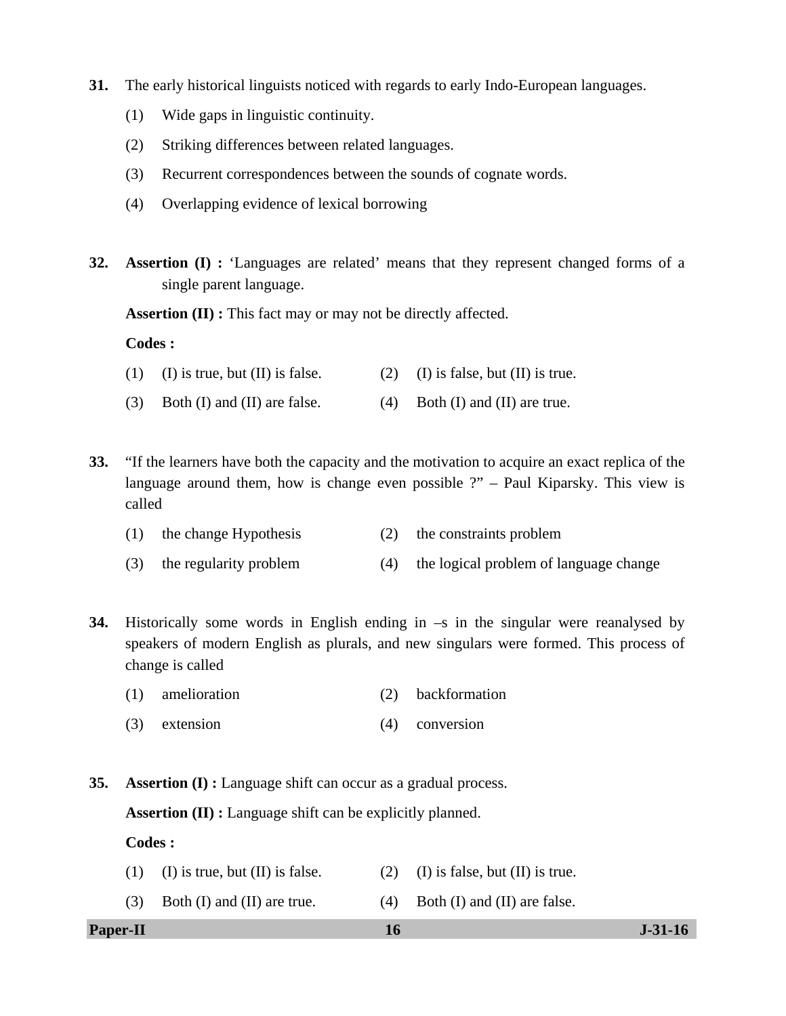- **31.** The early historical linguists noticed with regards to early Indo-European languages.
	- (1) Wide gaps in linguistic continuity.
	- (2) Striking differences between related languages.
	- (3) Recurrent correspondences between the sounds of cognate words.
	- (4) Overlapping evidence of lexical borrowing
- **32. Assertion (I) :** 'Languages are related' means that they represent changed forms of a single parent language.

**Assertion (II) :** This fact may or may not be directly affected.

#### **Codes :**

- (1) (I) is true, but (II) is false. (2) (I) is false, but (II) is true.
- (3) Both (I) and (II) are false.  $(4)$  Both (I) and (II) are true.
- **33.** "If the learners have both the capacity and the motivation to acquire an exact replica of the language around them, how is change even possible ?" – Paul Kiparsky. This view is called
	- (1) the change Hypothesis (2) the constraints problem
	- (3) the regularity problem (4) the logical problem of language change
- **34.** Historically some words in English ending in –s in the singular were reanalysed by speakers of modern English as plurals, and new singulars were formed. This process of change is called
	- (1) amelioration (2) backformation
	- (3) extension (4) conversion
- **35. Assertion (I) :** Language shift can occur as a gradual process.

**Assertion (II) :** Language shift can be explicitly planned.

#### **Codes :**

- (1) (I) is true, but (II) is false. (2) (I) is false, but (II) is true.
- (3) Both (I) and (II) are true.  $(4)$  Both (I) and (II) are false.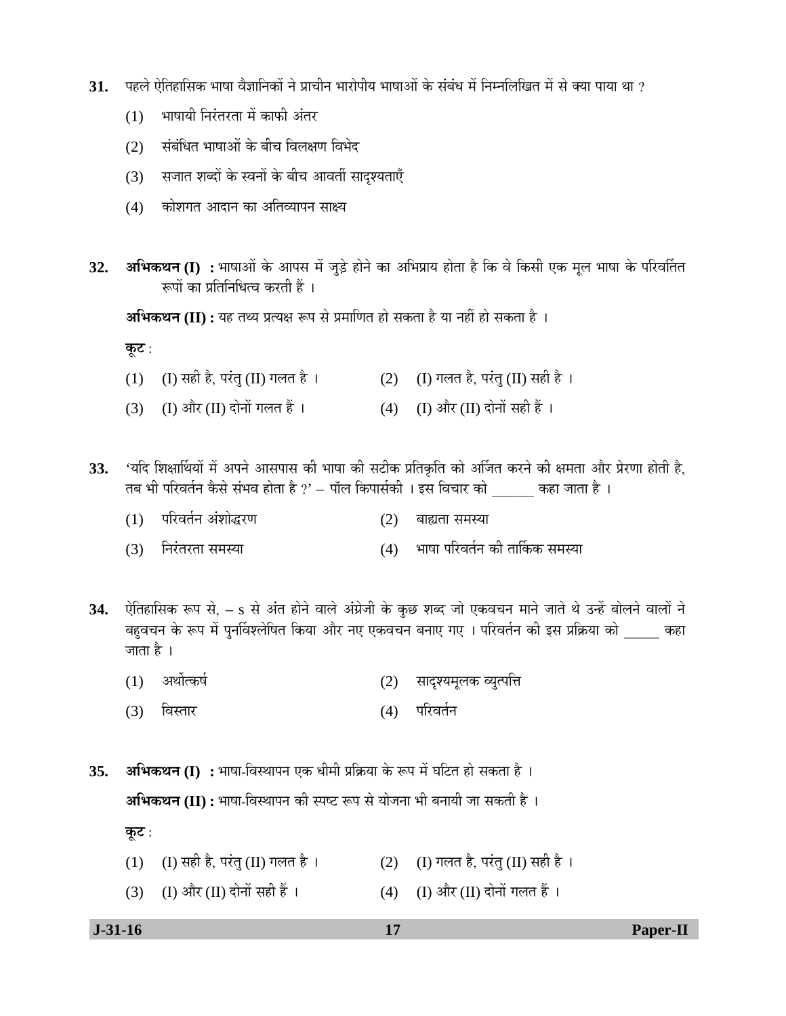- ${\bf 31.}$  पहले ऐतिहासिक भाषा वैज्ञानिकों ने प्राचीन भारोपीय भाषाओं के संबंध में निम्नलिखित में से क्या पाया था ?
	- $(1)$  भाषायी निरंतरता में काफी अंतर
	- (2) संबंधित भाषाओं के बीच विलक्षण विभेद
	- (3) सजात शब्दों के स्वनों के बीच आवर्ती सादृश्यताएँ
	- $(4)$  कोशगत आदान का अतिव्यापन साक्ष्य
- 32. **अभिकथन (I) :** भाषाओं के आपस में जुड़े होने का अभिप्राय होता है कि वे किसी एक मूल भाषा के परिवर्तित रूपों का प्रतिनिधित्व करती हैं ।

**अभिकथन (II) :** यह तथ्य प्रत्यक्ष रूप से प्रमाणित हो सकता है या नहीं हो सकता है ।

<u>क</u>ूट :

- (1) (I) सही है, परंतु (II) गलत है ।  $(2)$  (I) गलत है, परंतु (II) सही है ।
- (3) (I) और (II) दोनों गलत हैं ।  $(4)$  (I) और (II) दोनों सही हैं ।
- 33. 'यदि शिक्षार्थियों में अपने आसपास की भाषा की सटीक प्रतिकृति को अर्जित करने की क्षमता और प्रेरणा होती है, तब भी परिवर्तन कैसे संभव होता है ?' – पॉल किपार्सकी । इस विचार को कहा जाता है ।
	- (1) परिवर्तन अंशोद्धरण (2) बाह्यता समस्या
	- (3) ×®Ö¸ÓüŸÖ¸üŸÖÖ ÃÖ´ÖõÖÖ (4) ³ÖÖÂÖÖ ¯Ö׸ü¾ÖŸÖÔ®Ö Ûúß ŸÖÖÙÛúÛú ÃÖ´ÖõÖÖ
- 34. ऐतिहासिक रूप से, s से अंत होने वाले अंग्रेजी के कुछ शब्द जो एकवचन माने जाते थे उन्हें बोलने वालों ने बहवचन के रूप में पुनर्विश्लेषित किया और नए एकवचन बनाए गए । परिवर्तन की इस प्रक्रिया को कहा जाता है $\perp$ 
	- (1) अर्थोत्कर्ष (2) सादृश्यमूलक व्युत्पत्ति
	- (3) विस्तार (4) परिवर्तन
- 35. **अभिकथन (I) :** भाषा-विस्थापन एक धीमी प्रक्रिया के रूप में घटित हो सकता है । **अभिकथन (II) :** भाषा-विस्थापन की स्पष्ट रूप से योजना भी बनायी जा सकती है । <u>क</u>ृट :
	- (1) (I) सही है, परंतु (II) गलत है ।  $(2)$  (I) गलत है, परंतु (II) सही है ।
	- (3) (I) और (II) दोनों सही हैं ।  $(4)$  (I) और (II) दोनों गलत हैं ।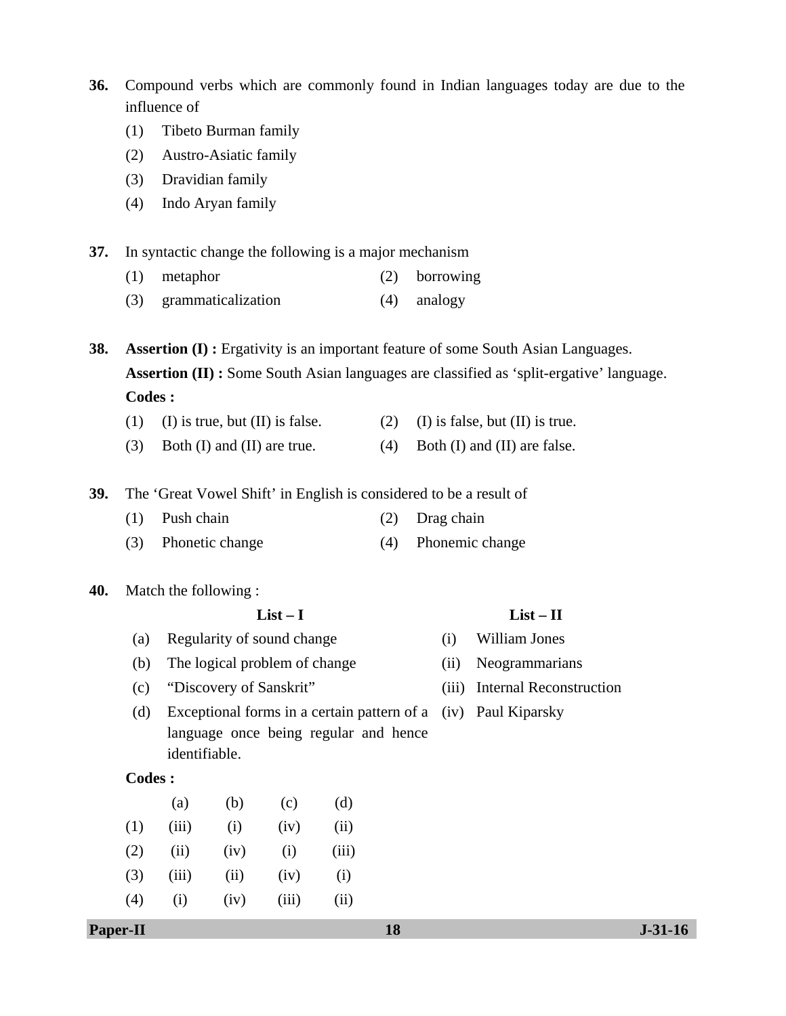**36.** Compound verbs which are commonly found in Indian languages today are due to the influence of

- (1) Tibeto Burman family
- (2) Austro-Asiatic family
- (3) Dravidian family
- (4) Indo Aryan family
- **37.** In syntactic change the following is a major mechanism
	- (1) metaphor (2) borrowing
	- (3) grammaticalization (4) analogy

**38. Assertion (I):** Ergativity is an important feature of some South Asian Languages. **Assertion (II) :** Some South Asian languages are classified as 'split-ergative' language. **Codes :** 

- (1) (I) is true, but (II) is false. (2) (I) is false, but (II) is true.
- (3) Both (I) and (II) are true.  $(4)$  Both (I) and (II) are false.

**39.** The 'Great Vowel Shift' in English is considered to be a result of

- (1) Push chain (2) Drag chain
- (3) Phonetic change (4) Phonemic change
- **40.** Match the following :

#### **List – I List – II**

- (a) Regularity of sound change (i) William Jones
- (b) The logical problem of change (ii) Neogrammarians
- (c) "Discovery of Sanskrit" (iii) Internal Reconstruction
- (d) Exceptional forms in a certain pattern of a (iv) Paul Kiparsky language once being regular and hence identifiable.

#### **Codes :**

|     | $\left( a\right)$ | (b)  | (c)   | (d)   |
|-----|-------------------|------|-------|-------|
| (1) | (iii)             | (i)  | (iv)  | (ii)  |
| (2) | (ii)              | (iv) | (i)   | (iii) |
| (3) | (iii)             | (ii) | (iv)  | (i)   |
| (4) | (i)               | (iv) | (iii) | (ii)  |

- 
- 
-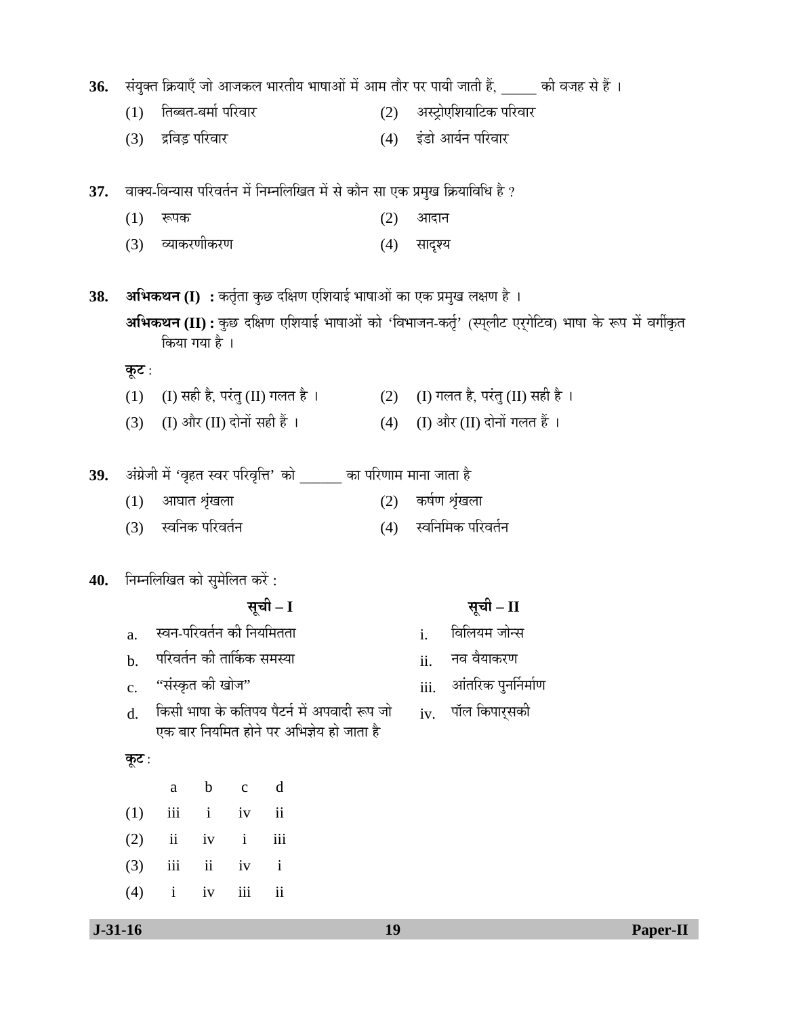|  | ${\bf 36.}$ संयुक्त क्रियाएँ जो आजकल भारतीय भाषाओं में आम तौर पर पायी जाती हैं, $\_$ |  |  |  |  | की वजह से हैं । |  |
|--|--------------------------------------------------------------------------------------|--|--|--|--|-----------------|--|
|--|--------------------------------------------------------------------------------------|--|--|--|--|-----------------|--|

- (1) तिब्बत-बर्मा परिवार (2) अस्ट्रोएशियाटिक परिवार
- (3) द्रविड़ परिवार (4) इंडो आर्यन परिवार
- 37. वाक्य-विन्यास परिवर्तन में निम्नलिखित में से कौन सा एक प्रमुख क्रियाविधि है ?
	- $(1)$  रूपक (2) आदान
	- (3) व्याकरणीकरण (4) सादृश्य

38. **अभिकथन (I) :** कर्तृता कुछ दक्षिण एशियाई भाषाओं का एक प्रमुख लक्षण है । **अभिकथन (II) :** कुछ दक्षिण एशियाई भाषाओं को 'विभाजन-कर्तृ' (स्प्लीट एर्गेटिव) भाषा के रूप में वर्गीकृत किया गया है ।

<u>कूट :</u>

- (1) (I) सही है, परंतु (II) गलत है ।  $(2)$  (I) गलत है, परंतु (II) सही है ।
- (3) (I) और (II) दोनों सही हैं ।  $(4)$  (I) और (II) दोनों गलत हैं ।

|  |  | 39. अंग्रेजी में 'वृहत स्वर परिवृत्ति' को |  | का परिणाम माना जाता है |  |
|--|--|-------------------------------------------|--|------------------------|--|
|--|--|-------------------------------------------|--|------------------------|--|

- $(1)$  आघात शृंखला  $(2)$  कर्षण शृंखला
- (3) स्वनिक परिवर्तन (4) स्वनिमिक परिवर्तन

# 40. **निम्नलिखित को सुमेलित करें**:

- $a.$  स्वन-परिवर्तन की नियमितता  $i.$  विलियम जोन्स
- b. ¯Ö׸ü¾ÖŸÖÔ®Ö Ûúß ŸÖÖÙÛúÛú ÃÖ´ÖõÖÖ ii. ®Ö¾Ö ¾ÖîµÖÖÛú¸üÞÖ
- $c.$  "संस्कृत की खोज"  $\overline{c}$  and  $\overline{c}$  iii.  $\overline{c}$  आंतरिक पुनर्निर्माण
- d. किसी भाषा के कतिपय पैटर्न में अपवादी रूप जो एक बार नियमित होने पर अभिज्ञेय हो जाता है

#### **कूट** :

|                   | a b c d |  |
|-------------------|---------|--|
| $(1)$ iii i iv ii |         |  |
| $(2)$ ii iv i iii |         |  |
| $(3)$ iii ii iv i |         |  |
| $(4)$ i iv iii ii |         |  |

# **ÃÖæ"Öß – I ÃÖæ"Öß – II**

- 
- 
- 
- $iv.$  पॉल किपार् को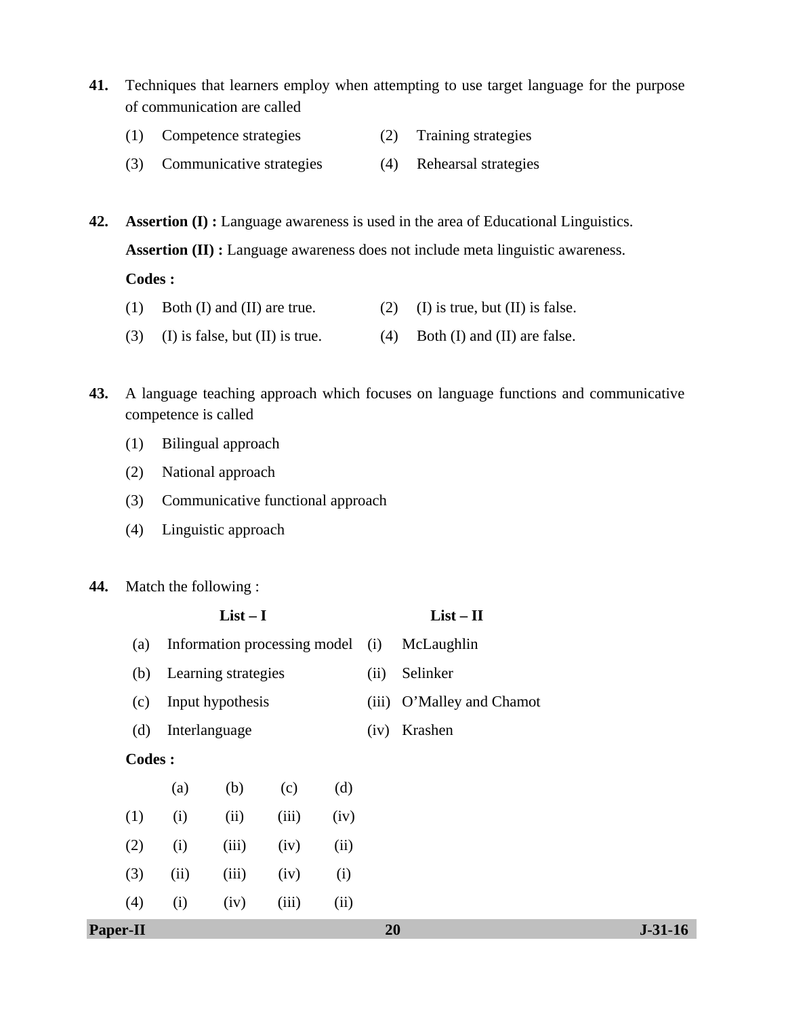- **41.** Techniques that learners employ when attempting to use target language for the purpose of communication are called
	- (1) Competence strategies (2) Training strategies
	- (3) Communicative strategies (4) Rehearsal strategies

**42. Assertion (I) :** Language awareness is used in the area of Educational Linguistics. **Assertion (II) :** Language awareness does not include meta linguistic awareness. **Codes :** 

- (1) Both (I) and (II) are true. (2) (I) is true, but (II) is false.
- (3) (I) is false, but (II) is true. (4) Both (I) and (II) are false.
- **43.** A language teaching approach which focuses on language functions and communicative competence is called
	- (1) Bilingual approach
	- (2) National approach
	- (3) Communicative functional approach
	- (4) Linguistic approach
- **44.** Match the following :

| $List-I$        |      |                              |       |      |       | $List - II$         |               |
|-----------------|------|------------------------------|-------|------|-------|---------------------|---------------|
| (a)             |      | Information processing model |       |      | (i)   | McLaughlin          |               |
| (b)             |      | Learning strategies          |       |      | (ii)  | Selinker            |               |
| (c)             |      | Input hypothesis             |       |      | (iii) | O'Malley and Chamot |               |
| (d)             |      | Interlanguage                |       |      |       | Krashen             |               |
| <b>Codes:</b>   |      |                              |       |      |       |                     |               |
|                 | (a)  | (b)                          | (c)   | (d)  |       |                     |               |
| (1)             | (i)  | (ii)                         | (iii) | (iv) |       |                     |               |
| (2)             | (i)  | (iii)                        | (iv)  | (ii) |       |                     |               |
| (3)             | (ii) | (iii)                        | (iv)  | (i)  |       |                     |               |
| (4)             | (i)  | (iv)                         | (iii) | (ii) |       |                     |               |
| <b>Paper-II</b> |      |                              |       |      | 20    |                     | $J - 31 - 16$ |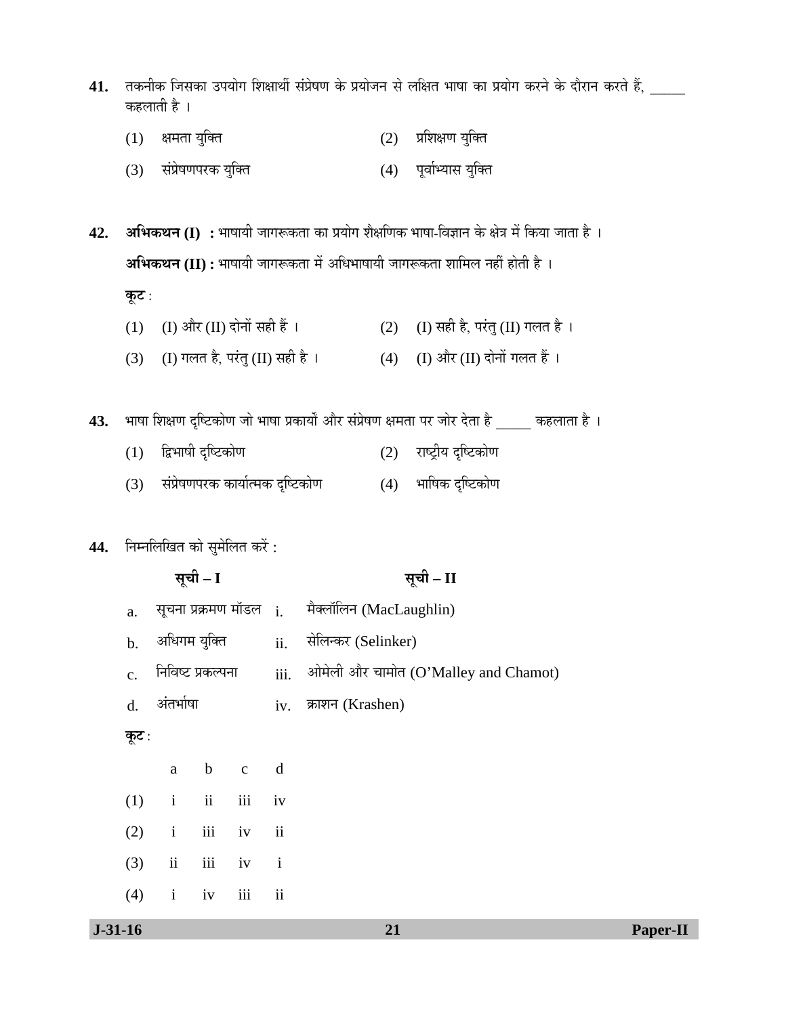- 41. तकनीक जिसका उपयोग शिक्षार्थी संप्रेषण के प्रयोजन से लक्षित भाषा का प्रयोग करने के दौरान करते हैं, कहलाती है ।
	- $(1)$  क्षमता युक्ति  $(2)$  प्रशिक्षण युक्ति
	- (3) संप्रेषणपरक युक्ति (4) पूर्वाभ्यास युक्ति

**42. अभिकथन (I) :** भाषायी जागरूकता का प्रयोग शैक्षणिक भाषा-विज्ञान के क्षेत्र में किया जाता है । **अभिकथन (II) :** भाषायी जागरूकता में अधिभाषायी जागरूकता शामिल नहीं होती है । **कूट** :

- (1) (I) और (II) दोनों सही हैं ।  $(2)$  (I) सही है, परंतु (II) गलत है ।
- (3) (I) गलत है, परंतु (II) सही है ।  $(4)$  (I) और (II) दोनों गलत हैं ।

43. भाषा शिक्षण दृष्टिकोण जो भाषा प्रकार्यों और संप्रेषण क्षमता पर जोर देता है \_\_\_\_\_ कहलाता है ।

- $(1)$  द्विभाषी दृष्टिकोण  $(2)$  राष्ट्रीय दृष्टिकोण
- $(3)$  संप्रेषणपरक कार्यात्मक दृष्टिकोण  $(4)$  भाषिक दृष्टिकोण

# 44. **निम्नलिखित को सुमेलित करें** :

|                |                     | सूची – I |                   |               | सूची – II                                           |
|----------------|---------------------|----------|-------------------|---------------|-----------------------------------------------------|
| a.             |                     |          |                   |               | सूचना प्रक्रमण मॉडल i.      मैक्लॉलिन (MacLaughlin) |
| $\mathbf{b}$ . | अधिगम युक्ति        |          |                   |               | ii. सेलिन्कर (Selinker)                             |
| $\mathbf{c}$ . |                     |          | निविष्ट प्रकल्पना |               | iii. ओमेली और चामोत (O'Malley and Chamot)           |
| $d_{\cdot}$    | अंतर्भाषा           |          |                   |               | iv. क्राशन (Krashen)                                |
| कूट :          |                     |          |                   |               |                                                     |
|                |                     |          | a b c d           |               |                                                     |
| (1)            | $i$ $ii$ $iii$ $iv$ |          |                   |               |                                                     |
| (2)            | i                   |          | iii iv ii         |               |                                                     |
| (3)            |                     |          | ii iii iv i       |               |                                                     |
| (4)            | $\mathbf{i}$        | iv       | iii               | $\mathbf{ii}$ |                                                     |
|                |                     |          |                   |               |                                                     |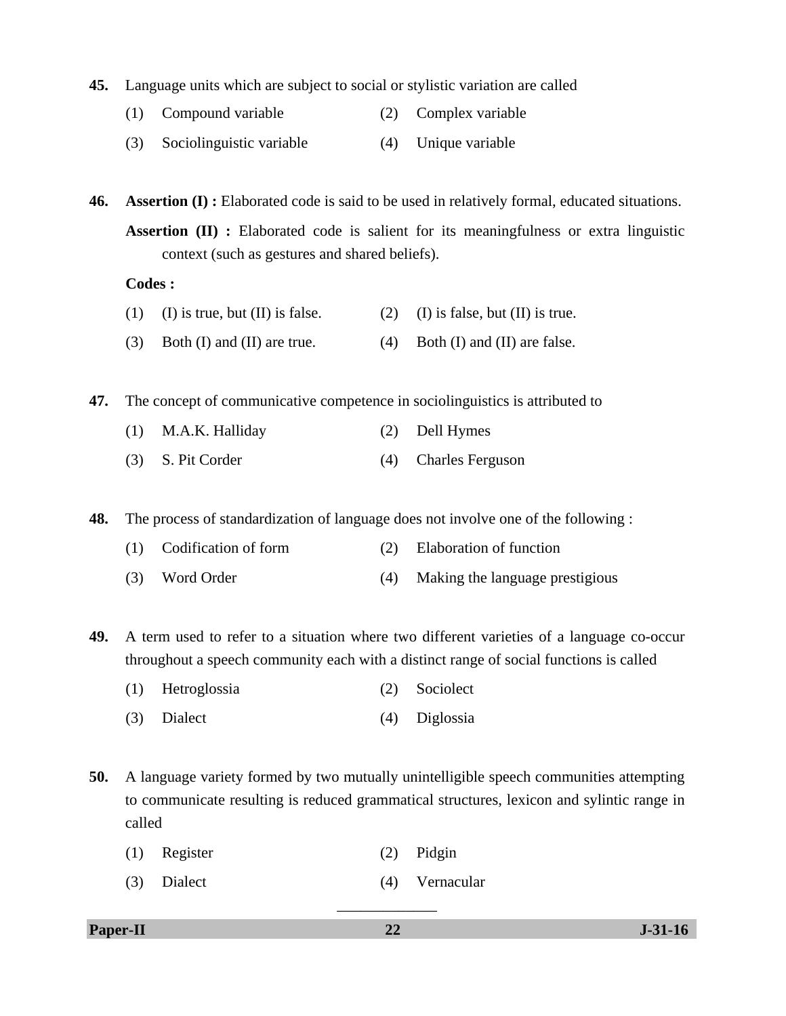- **45.** Language units which are subject to social or stylistic variation are called
	- (1) Compound variable (2) Complex variable
	- (3) Sociolinguistic variable (4) Unique variable

**46. Assertion (I) :** Elaborated code is said to be used in relatively formal, educated situations. **Assertion (II) :** Elaborated code is salient for its meaningfulness or extra linguistic context (such as gestures and shared beliefs).

**Codes :** 

(1) (I) is true, but (II) is false. (2) (I) is false, but (II) is true. (3) Both (I) and (II) are true.  $(4)$  Both (I) and (II) are false.

**47.** The concept of communicative competence in sociolinguistics is attributed to

- (1) M.A.K. Halliday (2) Dell Hymes
- (3) S. Pit Corder (4) Charles Ferguson

**48.** The process of standardization of language does not involve one of the following :

- (1) Codification of form (2) Elaboration of function
- (3) Word Order (4) Making the language prestigious

**49.** A term used to refer to a situation where two different varieties of a language co-occur throughout a speech community each with a distinct range of social functions is called

- (1) Hetroglossia (2) Sociolect
- (3) Dialect (4) Diglossia

**50.** A language variety formed by two mutually unintelligible speech communities attempting to communicate resulting is reduced grammatical structures, lexicon and sylintic range in called

- (1) Register (2) Pidgin
- (3) Dialect (4) Vernacular

**Paper-II 31-31-16**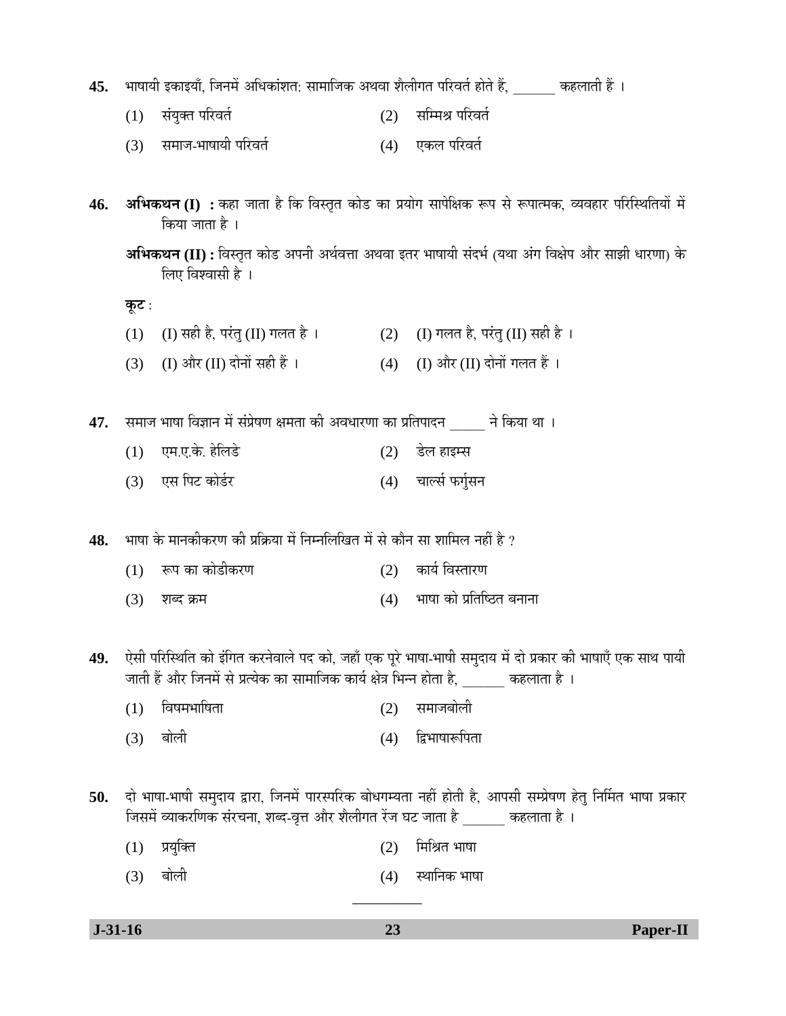**45.** भाषायी इकाइयाँ, जिनमें अधिकांशत: सामाजिक अथवा शैलीगत परिवर्त होते हैं, कहलाती हैं ।

- $(1)$  संयुक्त परिवर्त  $(2)$  सम्मिश्र परिवर्त
- (3) समाज-भाषायी परिवर्त (4) एकल परिवर्त
- 46. अभिकथन (I) : कहा जाता है कि विस्तृत कोड का प्रयोग सापेक्षिक रूप से रूपात्मक, व्यवहार परिस्थितियों में किया जाता है ।

<u>कूट :</u>

- (1) (I) सही है, परंतु (II) गलत है ।  $\qquad (2)$  (I) गलत है, परंतु (II) सही है ।
- (3) (I) और (II) दोनों सही हैं ।  $(4)$  (I) और (II) दोनों गलत हैं ।

47. समाज भाषा विज्ञान में संप्रेषण क्षमता की अवधारणा का प्रतिपादन ने किया था ।

- (1) ‹´Ö.‹.Ûêú. Æêü×»Ö›êü (2) ›êü»Ö ÆüÖ‡´ÃÖ
- (3) एस पिट कोर्डर (4) चार्ल्स फर्गुसन

48. भाषा के मानकीकरण की प्रक्रिया में निम्नलिखित में से कौन सा शामिल नहीं है ?

- $(1)$  रूप का कोडीकरण  $(2)$  कार्य विस्तारण
- $(3)$  शब्द क्रम  $(4)$  भाषा को प्रतिष्ठित बनाना
- 49. ऐसी परिस्थिति को इंगित करनेवाले पद को, जहाँ एक पूरे भाषा-भाषी समुदाय में दो प्रकार की भाषाएँ एक साथ पायी •जाती हैं और जिनमें से प्रत्येक का सामाजिक कार्य क्षेत्र भिन्न होता है, कहलाता है ।
	- (1) विषमभाषिता (2) समाजबोली
	- (3) बोली (4) द्विभाषारूपिता
- 50. दो भाषा-भाषी समुदाय द्वारा, जिनमें पारस्परिक बोधगम्यता नहीं होती है, आपसी सम्प्रेषण हेतु निर्मित भाषा प्रकार जिसमें व्याकरणिक संरचना, शब्द-वृत्त और शैलीगत रेंज घट जाता है <u>\_\_\_\_\_\_</u> कहलाता है ।
	- $(1)$  प्रयुक्ति  $(2)$  मिश्रित भाषा
	- (3) ²ÖÖê»Öß (4) ãÖÖ×®ÖÛú ³ÖÖÂÖÖ

 **J-31-16 23 Paper-II**

\_\_\_\_\_\_\_\_\_

**अभिकथन (II) :** विस्तृत कोड अपनी अर्थवत्ता अथवा इतर भाषायी संदर्भ (यथा अंग विक्षेप और साझी धारणा) के लिए विश्वासी है $\,$ ।